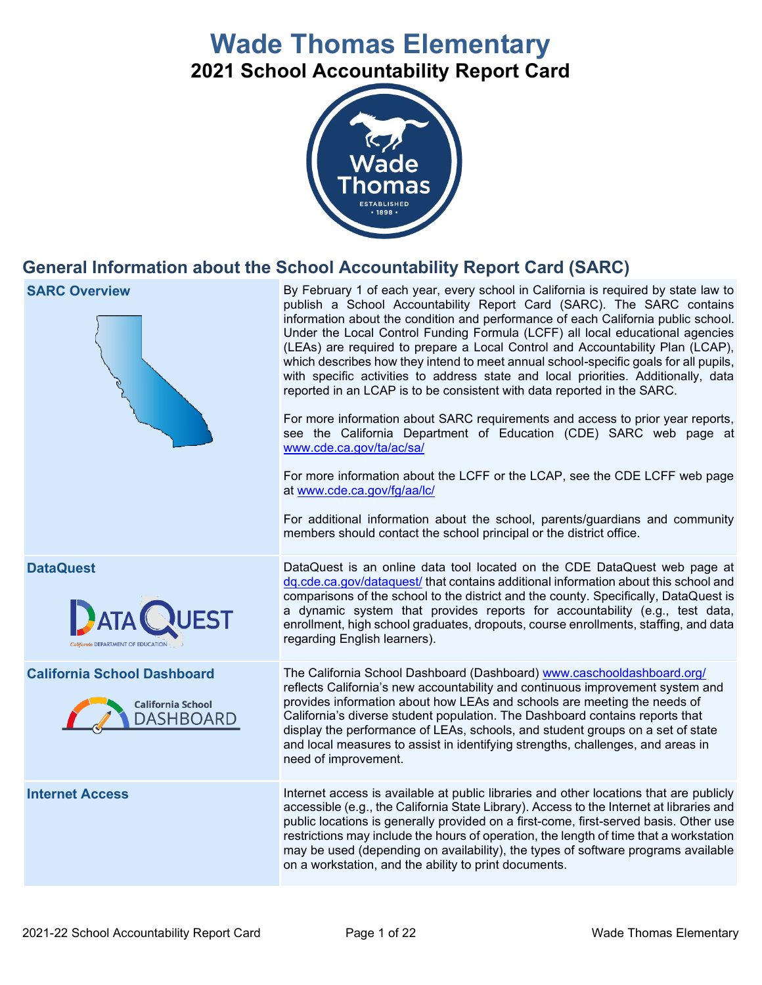# **Wade Thomas Elementary 2021 School Accountability Report Card**



# **General Information about the School Accountability Report Card (SARC)**

| <b>SARC Overview</b>                                                               | By February 1 of each year, every school in California is required by state law to<br>publish a School Accountability Report Card (SARC). The SARC contains<br>information about the condition and performance of each California public school.<br>Under the Local Control Funding Formula (LCFF) all local educational agencies<br>(LEAs) are required to prepare a Local Control and Accountability Plan (LCAP),<br>which describes how they intend to meet annual school-specific goals for all pupils,<br>with specific activities to address state and local priorities. Additionally, data<br>reported in an LCAP is to be consistent with data reported in the SARC.<br>For more information about SARC requirements and access to prior year reports,<br>see the California Department of Education (CDE) SARC web page at<br>www.cde.ca.gov/ta/ac/sa/<br>For more information about the LCFF or the LCAP, see the CDE LCFF web page<br>at www.cde.ca.gov/fg/aa/lc/<br>For additional information about the school, parents/guardians and community<br>members should contact the school principal or the district office. |
|------------------------------------------------------------------------------------|-------------------------------------------------------------------------------------------------------------------------------------------------------------------------------------------------------------------------------------------------------------------------------------------------------------------------------------------------------------------------------------------------------------------------------------------------------------------------------------------------------------------------------------------------------------------------------------------------------------------------------------------------------------------------------------------------------------------------------------------------------------------------------------------------------------------------------------------------------------------------------------------------------------------------------------------------------------------------------------------------------------------------------------------------------------------------------------------------------------------------------------|
| <b>DataQuest</b><br>California DEPARTMENT OF EDUCATION                             | DataQuest is an online data tool located on the CDE DataQuest web page at<br>dq.cde.ca.gov/dataquest/ that contains additional information about this school and<br>comparisons of the school to the district and the county. Specifically, DataQuest is<br>a dynamic system that provides reports for accountability (e.g., test data,<br>enrollment, high school graduates, dropouts, course enrollments, staffing, and data<br>regarding English learners).                                                                                                                                                                                                                                                                                                                                                                                                                                                                                                                                                                                                                                                                      |
| <b>California School Dashboard</b><br><b>California School</b><br><b>DASHBOARD</b> | The California School Dashboard (Dashboard) www.caschooldashboard.org/<br>reflects California's new accountability and continuous improvement system and<br>provides information about how LEAs and schools are meeting the needs of<br>California's diverse student population. The Dashboard contains reports that<br>display the performance of LEAs, schools, and student groups on a set of state<br>and local measures to assist in identifying strengths, challenges, and areas in<br>need of improvement.                                                                                                                                                                                                                                                                                                                                                                                                                                                                                                                                                                                                                   |
| <b>Internet Access</b>                                                             | Internet access is available at public libraries and other locations that are publicly<br>accessible (e.g., the California State Library). Access to the Internet at libraries and<br>public locations is generally provided on a first-come, first-served basis. Other use<br>restrictions may include the hours of operation, the length of time that a workstation<br>may be used (depending on availability), the types of software programs available<br>on a workstation, and the ability to print documents.                                                                                                                                                                                                                                                                                                                                                                                                                                                                                                                                                                                                                 |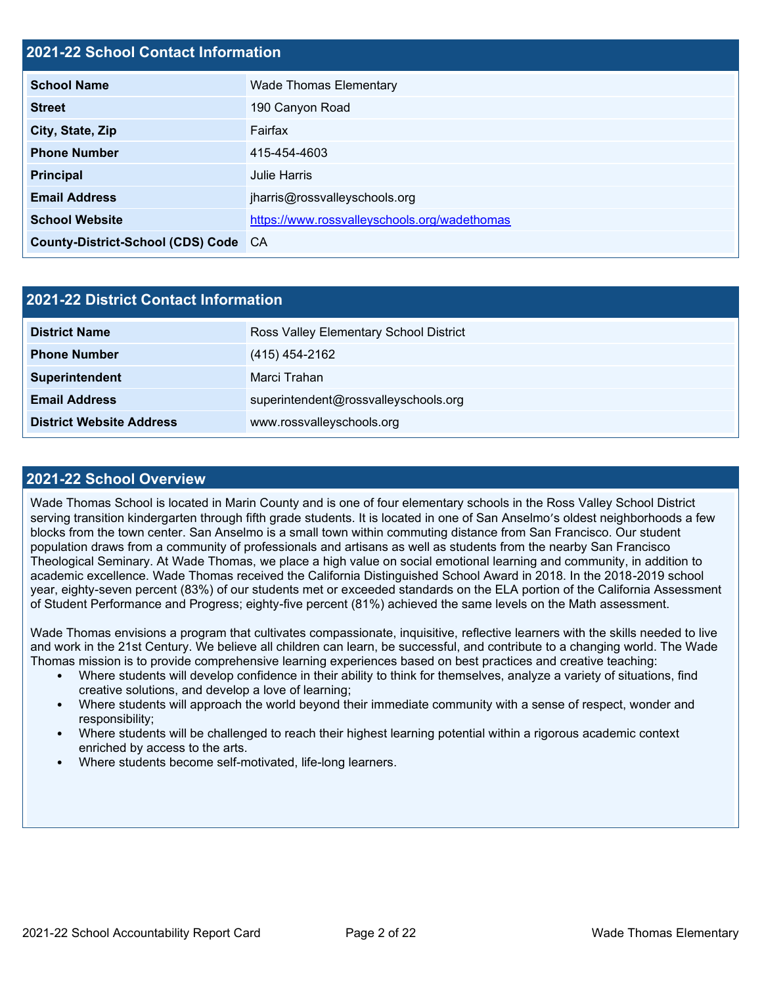#### **2021-22 School Contact Information**

| <b>School Name</b>                   | <b>Wade Thomas Elementary</b>                |  |  |
|--------------------------------------|----------------------------------------------|--|--|
| <b>Street</b>                        | 190 Canyon Road                              |  |  |
| City, State, Zip                     | Fairfax                                      |  |  |
| <b>Phone Number</b>                  | 415-454-4603                                 |  |  |
| <b>Principal</b>                     | Julie Harris                                 |  |  |
| <b>Email Address</b>                 | jharris@rossvalleyschools.org                |  |  |
| <b>School Website</b>                | https://www.rossvalleyschools.org/wadethomas |  |  |
| County-District-School (CDS) Code CA |                                              |  |  |

| 2021-22 District Contact Information |                                        |  |  |
|--------------------------------------|----------------------------------------|--|--|
| <b>District Name</b>                 | Ross Valley Elementary School District |  |  |
| <b>Phone Number</b>                  | (415) 454-2162                         |  |  |
| Superintendent                       | Marci Trahan                           |  |  |
| <b>Email Address</b>                 | superintendent@rossvalleyschools.org   |  |  |
| <b>District Website Address</b>      | www.rossvalleyschools.org              |  |  |

#### **2021-22 School Overview**

Wade Thomas School is located in Marin County and is one of four elementary schools in the Ross Valley School District serving transition kindergarten through fifth grade students. It is located in one of San Anselmo's oldest neighborhoods a few blocks from the town center. San Anselmo is a small town within commuting distance from San Francisco. Our student population draws from a community of professionals and artisans as well as students from the nearby San Francisco Theological Seminary. At Wade Thomas, we place a high value on social emotional learning and community, in addition to academic excellence. Wade Thomas received the California Distinguished School Award in 2018. In the 2018-2019 school year, eighty-seven percent (83%) of our students met or exceeded standards on the ELA portion of the California Assessment of Student Performance and Progress; eighty-five percent (81%) achieved the same levels on the Math assessment.

Wade Thomas envisions a program that cultivates compassionate, inquisitive, reflective learners with the skills needed to live and work in the 21st Century. We believe all children can learn, be successful, and contribute to a changing world. The Wade Thomas mission is to provide comprehensive learning experiences based on best practices and creative teaching:

- Where students will develop confidence in their ability to think for themselves, analyze a variety of situations, find creative solutions, and develop a love of learning;
- Where students will approach the world beyond their immediate community with a sense of respect, wonder and responsibility;
- Where students will be challenged to reach their highest learning potential within a rigorous academic context enriched by access to the arts.
- Where students become self-motivated, life-long learners.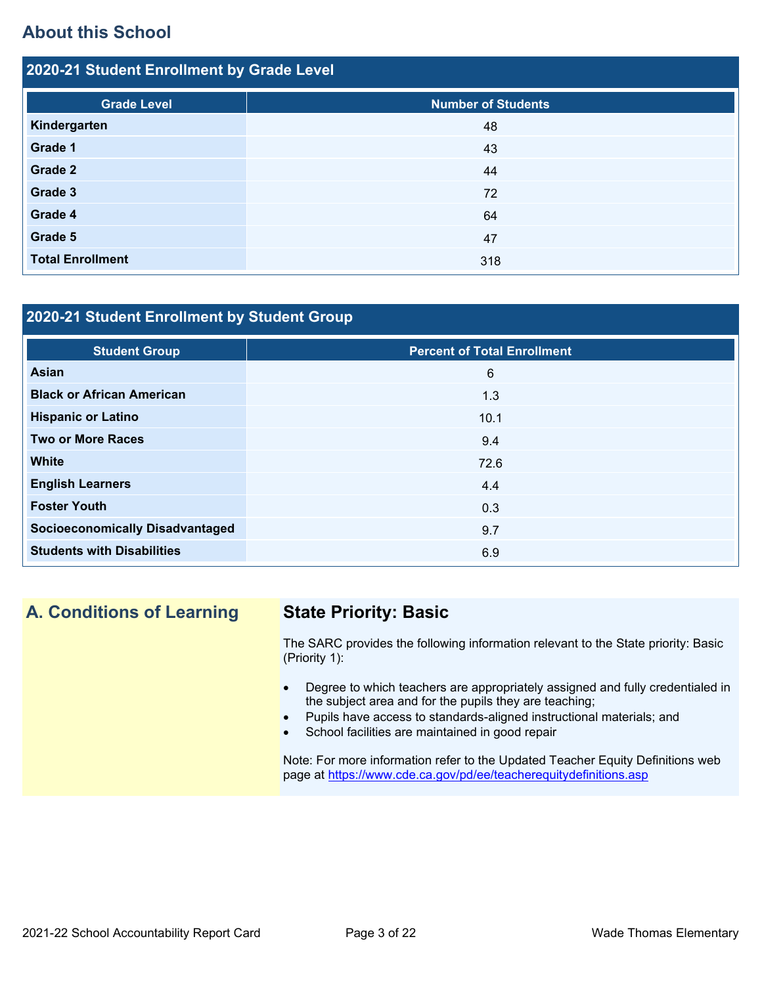# **About this School**

| 2020-21 Student Enrollment by Grade Level |                           |  |  |  |  |
|-------------------------------------------|---------------------------|--|--|--|--|
| <b>Grade Level</b>                        | <b>Number of Students</b> |  |  |  |  |
| Kindergarten                              | 48                        |  |  |  |  |
| Grade 1                                   | 43                        |  |  |  |  |
| Grade 2                                   | 44                        |  |  |  |  |
| Grade 3                                   | 72                        |  |  |  |  |
| Grade 4                                   | 64                        |  |  |  |  |
| Grade 5                                   | 47                        |  |  |  |  |
| <b>Total Enrollment</b>                   | 318                       |  |  |  |  |

### **2020-21 Student Enrollment by Student Group**

| <b>Student Group</b>                   | <b>Percent of Total Enrollment</b> |
|----------------------------------------|------------------------------------|
| <b>Asian</b>                           | 6                                  |
| <b>Black or African American</b>       | 1.3                                |
| <b>Hispanic or Latino</b>              | 10.1                               |
| <b>Two or More Races</b>               | 9.4                                |
| <b>White</b>                           | 72.6                               |
| <b>English Learners</b>                | 4.4                                |
| <b>Foster Youth</b>                    | 0.3                                |
| <b>Socioeconomically Disadvantaged</b> | 9.7                                |
| <b>Students with Disabilities</b>      | 6.9                                |

# **A. Conditions of Learning State Priority: Basic**

The SARC provides the following information relevant to the State priority: Basic (Priority 1):

- Degree to which teachers are appropriately assigned and fully credentialed in the subject area and for the pupils they are teaching;
- Pupils have access to standards-aligned instructional materials; and
- School facilities are maintained in good repair

Note: For more information refer to the Updated Teacher Equity Definitions web page at<https://www.cde.ca.gov/pd/ee/teacherequitydefinitions.asp>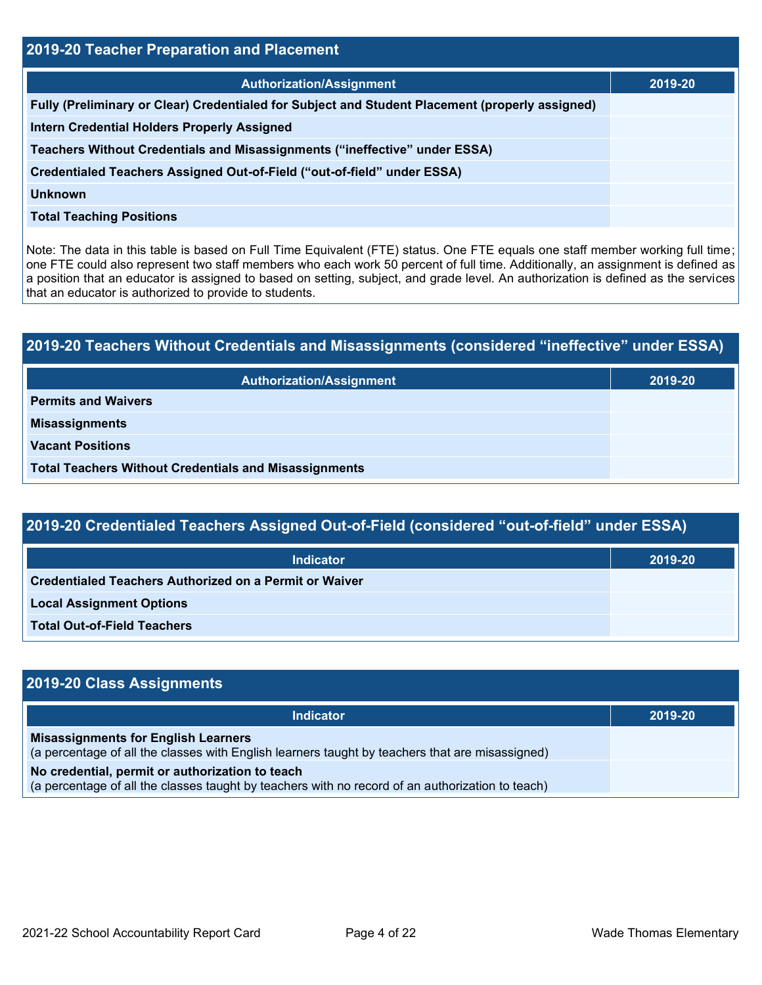| 2019-20 Teacher Preparation and Placement                                                       |         |  |  |
|-------------------------------------------------------------------------------------------------|---------|--|--|
| <b>Authorization/Assignment</b>                                                                 | 2019-20 |  |  |
| Fully (Preliminary or Clear) Credentialed for Subject and Student Placement (properly assigned) |         |  |  |
| <b>Intern Credential Holders Properly Assigned</b>                                              |         |  |  |
| Teachers Without Credentials and Misassignments ("ineffective" under ESSA)                      |         |  |  |
| Credentialed Teachers Assigned Out-of-Field ("out-of-field" under ESSA)                         |         |  |  |
| Unknown                                                                                         |         |  |  |
| <b>Total Teaching Positions</b>                                                                 |         |  |  |

Note: The data in this table is based on Full Time Equivalent (FTE) status. One FTE equals one staff member working full time; one FTE could also represent two staff members who each work 50 percent of full time. Additionally, an assignment is defined as a position that an educator is assigned to based on setting, subject, and grade level. An authorization is defined as the services that an educator is authorized to provide to students.

# **2019-20 Teachers Without Credentials and Misassignments (considered "ineffective" under ESSA) Authorization/Assignment 2019-20 Permits and Waivers Misassignments Vacant Positions Total Teachers Without Credentials and Misassignments**

| 2019-20 Credentialed Teachers Assigned Out-of-Field (considered "out-of-field" under ESSA) |                              |  |
|--------------------------------------------------------------------------------------------|------------------------------|--|
| <b>Indicator</b>                                                                           | $\sqrt{2019}$ -20 $\sqrt{ }$ |  |

| Indicator                                                     | 2019-20 |
|---------------------------------------------------------------|---------|
| <b>Credentialed Teachers Authorized on a Permit or Waiver</b> |         |
| <b>Local Assignment Options</b>                               |         |
| Total Out-of-Field Teachers                                   |         |

| 2019-20 Class Assignments                                                                                                                           |         |
|-----------------------------------------------------------------------------------------------------------------------------------------------------|---------|
| Indicator                                                                                                                                           | 2019-20 |
| <b>Misassignments for English Learners</b><br>(a percentage of all the classes with English learners taught by teachers that are misassigned)       |         |
| No credential, permit or authorization to teach<br>(a percentage of all the classes taught by teachers with no record of an authorization to teach) |         |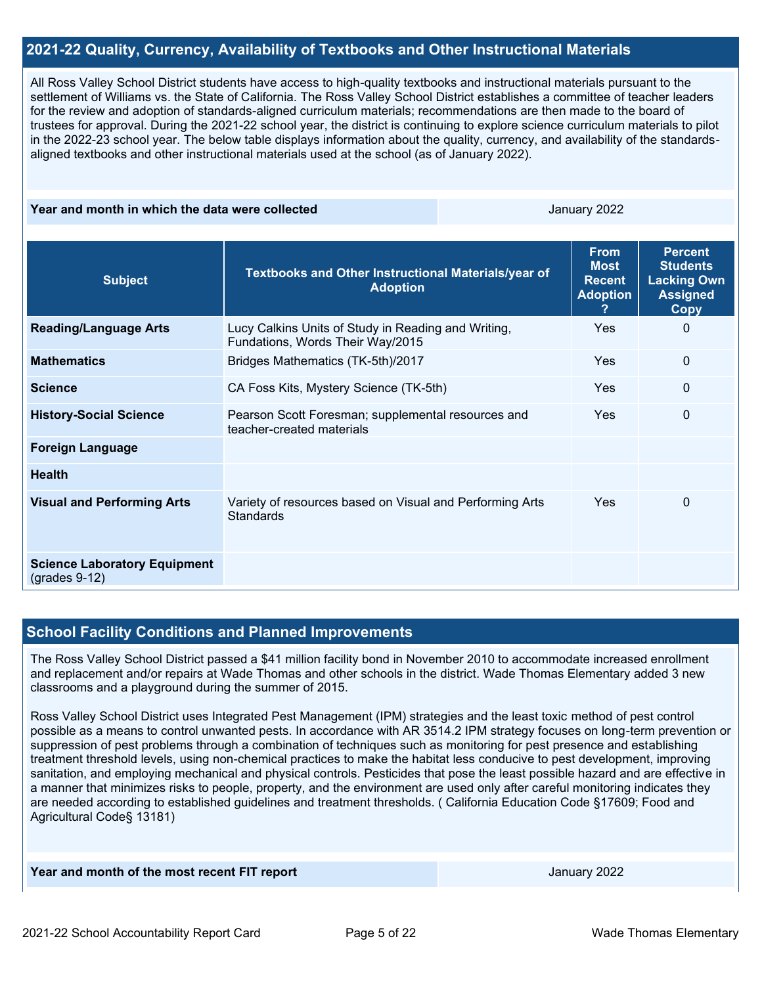#### **2021-22 Quality, Currency, Availability of Textbooks and Other Instructional Materials**

All Ross Valley School District students have access to high-quality textbooks and instructional materials pursuant to the settlement of Williams vs. the State of California. The Ross Valley School District establishes a committee of teacher leaders for the review and adoption of standards-aligned curriculum materials; recommendations are then made to the board of trustees for approval. During the 2021-22 school year, the district is continuing to explore science curriculum materials to pilot in the 2022-23 school year. The below table displays information about the quality, currency, and availability of the standardsaligned textbooks and other instructional materials used at the school (as of January 2022).

#### **Year and month in which the data were collected January 2022**

| <b>Subject</b>                                         | Textbooks and Other Instructional Materials/year of<br><b>Adoption</b>                  | <b>From</b><br><b>Most</b><br><b>Recent</b><br><b>Adoption</b> | <b>Percent</b><br><b>Students</b><br><b>Lacking Own</b><br><b>Assigned</b><br><b>Copy</b> |
|--------------------------------------------------------|-----------------------------------------------------------------------------------------|----------------------------------------------------------------|-------------------------------------------------------------------------------------------|
| <b>Reading/Language Arts</b>                           | Lucy Calkins Units of Study in Reading and Writing,<br>Fundations, Words Their Way/2015 | <b>Yes</b>                                                     | $\Omega$                                                                                  |
| <b>Mathematics</b>                                     | Bridges Mathematics (TK-5th)/2017                                                       | <b>Yes</b>                                                     | $\mathbf{0}$                                                                              |
| <b>Science</b>                                         | CA Foss Kits, Mystery Science (TK-5th)                                                  | <b>Yes</b>                                                     | 0                                                                                         |
| <b>History-Social Science</b>                          | Pearson Scott Foresman; supplemental resources and<br>teacher-created materials         | <b>Yes</b>                                                     | 0                                                                                         |
| <b>Foreign Language</b>                                |                                                                                         |                                                                |                                                                                           |
| <b>Health</b>                                          |                                                                                         |                                                                |                                                                                           |
| <b>Visual and Performing Arts</b>                      | Variety of resources based on Visual and Performing Arts<br><b>Standards</b>            | Yes                                                            | 0                                                                                         |
| <b>Science Laboratory Equipment</b><br>$(grades 9-12)$ |                                                                                         |                                                                |                                                                                           |

#### **School Facility Conditions and Planned Improvements**

The Ross Valley School District passed a \$41 million facility bond in November 2010 to accommodate increased enrollment and replacement and/or repairs at Wade Thomas and other schools in the district. Wade Thomas Elementary added 3 new classrooms and a playground during the summer of 2015.

Ross Valley School District uses Integrated Pest Management (IPM) strategies and the least toxic method of pest control possible as a means to control unwanted pests. In accordance with AR 3514.2 IPM strategy focuses on long-term prevention or suppression of pest problems through a combination of techniques such as monitoring for pest presence and establishing treatment threshold levels, using non-chemical practices to make the habitat less conducive to pest development, improving sanitation, and employing mechanical and physical controls. Pesticides that pose the least possible hazard and are effective in a manner that minimizes risks to people, property, and the environment are used only after careful monitoring indicates they are needed according to established guidelines and treatment thresholds. ( California Education Code §17609; Food and Agricultural Code§ 13181)

January 2022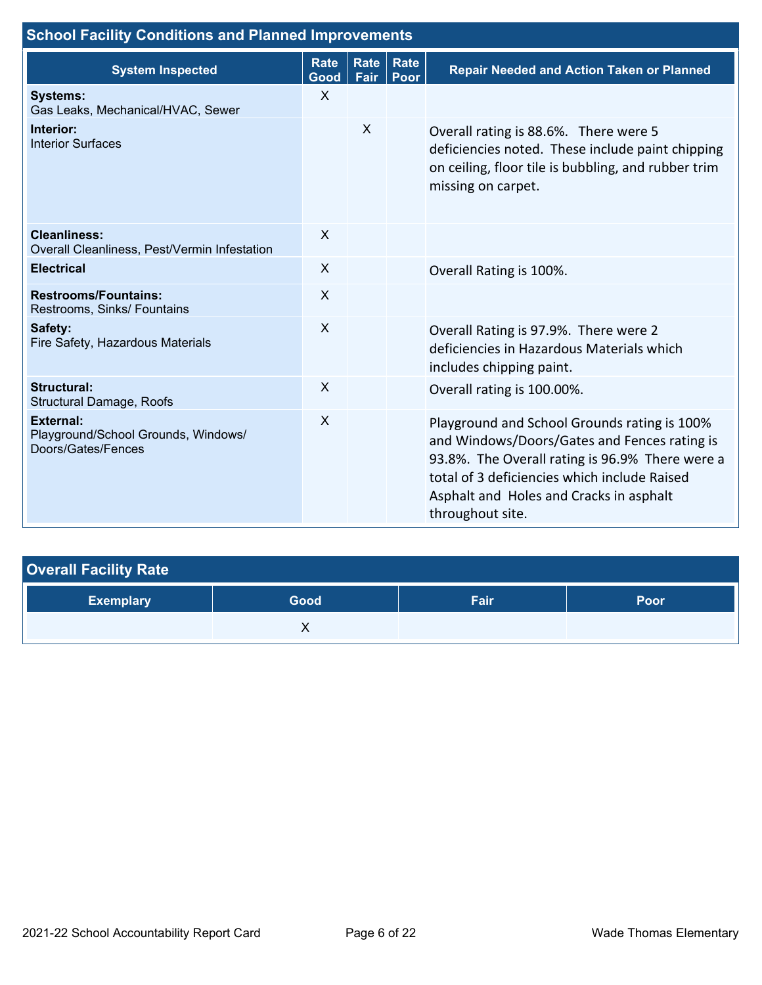| <b>School Facility Conditions and Planned Improvements</b>                    |                           |                     |      |                                                                                                                                                                                                                                                                |
|-------------------------------------------------------------------------------|---------------------------|---------------------|------|----------------------------------------------------------------------------------------------------------------------------------------------------------------------------------------------------------------------------------------------------------------|
| <b>System Inspected</b>                                                       | <b>Rate</b><br>Good       | Rate   Rate<br>Fair | Poor | <b>Repair Needed and Action Taken or Planned</b>                                                                                                                                                                                                               |
| <b>Systems:</b><br>Gas Leaks, Mechanical/HVAC, Sewer                          | $\mathsf{X}$              |                     |      |                                                                                                                                                                                                                                                                |
| Interior:<br><b>Interior Surfaces</b>                                         |                           | X                   |      | Overall rating is 88.6%. There were 5<br>deficiencies noted. These include paint chipping<br>on ceiling, floor tile is bubbling, and rubber trim<br>missing on carpet.                                                                                         |
| <b>Cleanliness:</b><br>Overall Cleanliness, Pest/Vermin Infestation           | X                         |                     |      |                                                                                                                                                                                                                                                                |
| <b>Electrical</b>                                                             | X                         |                     |      | Overall Rating is 100%.                                                                                                                                                                                                                                        |
| <b>Restrooms/Fountains:</b><br>Restrooms, Sinks/ Fountains                    | $\sf X$                   |                     |      |                                                                                                                                                                                                                                                                |
| Safety:<br>Fire Safety, Hazardous Materials                                   | $\boldsymbol{\mathsf{X}}$ |                     |      | Overall Rating is 97.9%. There were 2<br>deficiencies in Hazardous Materials which<br>includes chipping paint.                                                                                                                                                 |
| <b>Structural:</b><br>Structural Damage, Roofs                                | $\boldsymbol{\mathsf{X}}$ |                     |      | Overall rating is 100.00%.                                                                                                                                                                                                                                     |
| <b>External:</b><br>Playground/School Grounds, Windows/<br>Doors/Gates/Fences | $\sf X$                   |                     |      | Playground and School Grounds rating is 100%<br>and Windows/Doors/Gates and Fences rating is<br>93.8%. The Overall rating is 96.9% There were a<br>total of 3 deficiencies which include Raised<br>Asphalt and Holes and Cracks in asphalt<br>throughout site. |

| <b>Overall Facility Rate</b> |      |      |             |
|------------------------------|------|------|-------------|
| <b>Exemplary</b>             | Good | Fair | <b>Poor</b> |
|                              |      |      |             |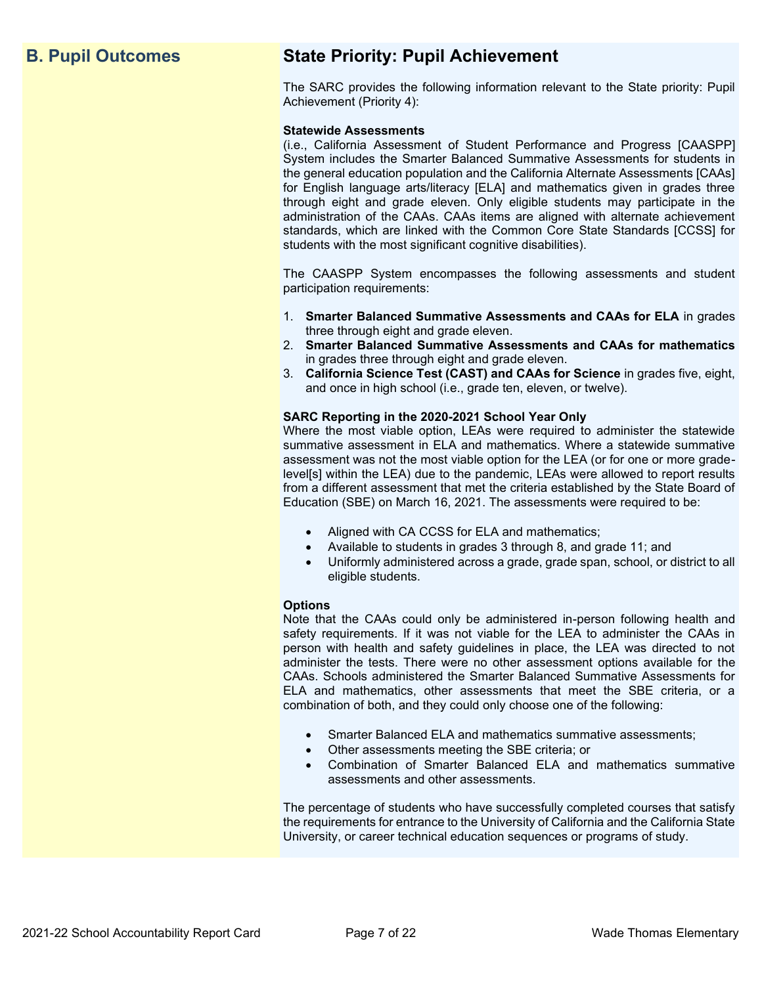# **B. Pupil Outcomes State Priority: Pupil Achievement**

The SARC provides the following information relevant to the State priority: Pupil Achievement (Priority 4):

#### **Statewide Assessments**

(i.e., California Assessment of Student Performance and Progress [CAASPP] System includes the Smarter Balanced Summative Assessments for students in the general education population and the California Alternate Assessments [CAAs] for English language arts/literacy [ELA] and mathematics given in grades three through eight and grade eleven. Only eligible students may participate in the administration of the CAAs. CAAs items are aligned with alternate achievement standards, which are linked with the Common Core State Standards [CCSS] for students with the most significant cognitive disabilities).

The CAASPP System encompasses the following assessments and student participation requirements:

- 1. **Smarter Balanced Summative Assessments and CAAs for ELA** in grades three through eight and grade eleven.
- 2. **Smarter Balanced Summative Assessments and CAAs for mathematics** in grades three through eight and grade eleven.
- 3. **California Science Test (CAST) and CAAs for Science** in grades five, eight, and once in high school (i.e., grade ten, eleven, or twelve).

#### **SARC Reporting in the 2020-2021 School Year Only**

Where the most viable option, LEAs were required to administer the statewide summative assessment in ELA and mathematics. Where a statewide summative assessment was not the most viable option for the LEA (or for one or more gradelevel[s] within the LEA) due to the pandemic, LEAs were allowed to report results from a different assessment that met the criteria established by the State Board of Education (SBE) on March 16, 2021. The assessments were required to be:

- Aligned with CA CCSS for ELA and mathematics;
- Available to students in grades 3 through 8, and grade 11; and
- Uniformly administered across a grade, grade span, school, or district to all eligible students.

#### **Options**

Note that the CAAs could only be administered in-person following health and safety requirements. If it was not viable for the LEA to administer the CAAs in person with health and safety guidelines in place, the LEA was directed to not administer the tests. There were no other assessment options available for the CAAs. Schools administered the Smarter Balanced Summative Assessments for ELA and mathematics, other assessments that meet the SBE criteria, or a combination of both, and they could only choose one of the following:

- Smarter Balanced ELA and mathematics summative assessments;
- Other assessments meeting the SBE criteria; or
- Combination of Smarter Balanced ELA and mathematics summative assessments and other assessments.

The percentage of students who have successfully completed courses that satisfy the requirements for entrance to the University of California and the California State University, or career technical education sequences or programs of study.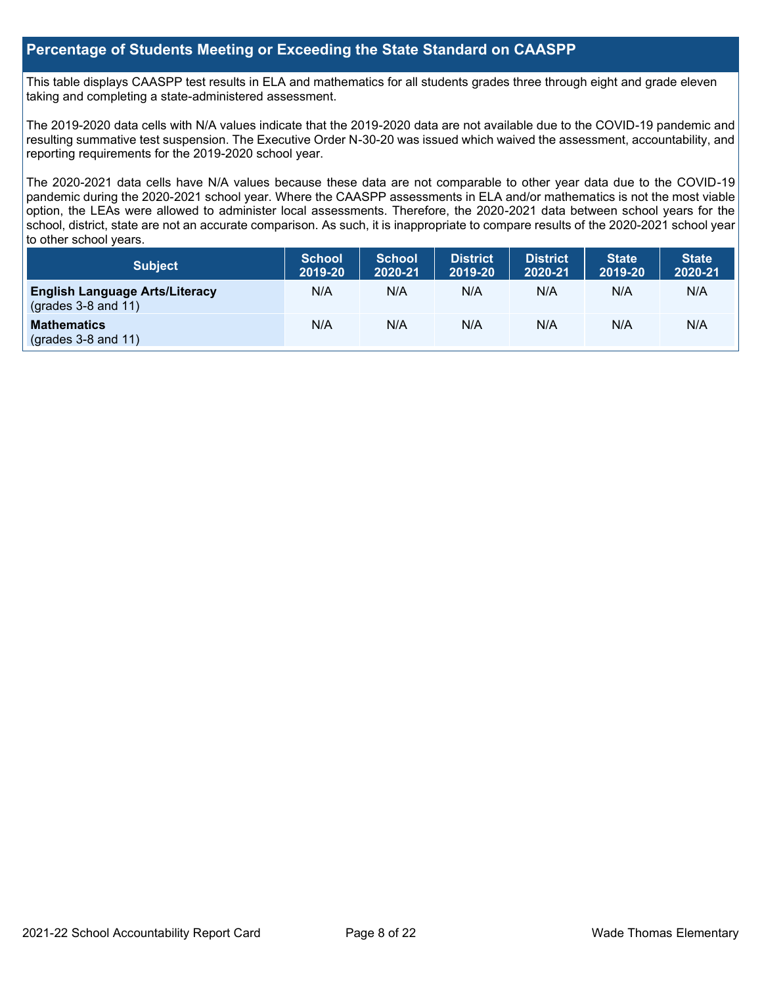#### **Percentage of Students Meeting or Exceeding the State Standard on CAASPP**

This table displays CAASPP test results in ELA and mathematics for all students grades three through eight and grade eleven taking and completing a state-administered assessment.

The 2019-2020 data cells with N/A values indicate that the 2019-2020 data are not available due to the COVID-19 pandemic and resulting summative test suspension. The Executive Order N-30-20 was issued which waived the assessment, accountability, and reporting requirements for the 2019-2020 school year.

The 2020-2021 data cells have N/A values because these data are not comparable to other year data due to the COVID-19 pandemic during the 2020-2021 school year. Where the CAASPP assessments in ELA and/or mathematics is not the most viable option, the LEAs were allowed to administer local assessments. Therefore, the 2020-2021 data between school years for the school, district, state are not an accurate comparison. As such, it is inappropriate to compare results of the 2020-2021 school year to other school years.

| Subject                                                              | <b>School</b><br>2019-20 | <b>School</b><br>2020-21 | <b>District</b><br>2019-20 | <b>District</b><br>2020-21 | <b>State</b><br>2019-20 | <b>State</b><br>2020-21 |
|----------------------------------------------------------------------|--------------------------|--------------------------|----------------------------|----------------------------|-------------------------|-------------------------|
| <b>English Language Arts/Literacy</b><br>$\left($ grades 3-8 and 11) | N/A                      | N/A                      | N/A                        | N/A                        | N/A                     | N/A                     |
| <b>Mathematics</b><br>$($ grades 3-8 and 11 $)$                      | N/A                      | N/A                      | N/A                        | N/A                        | N/A                     | N/A                     |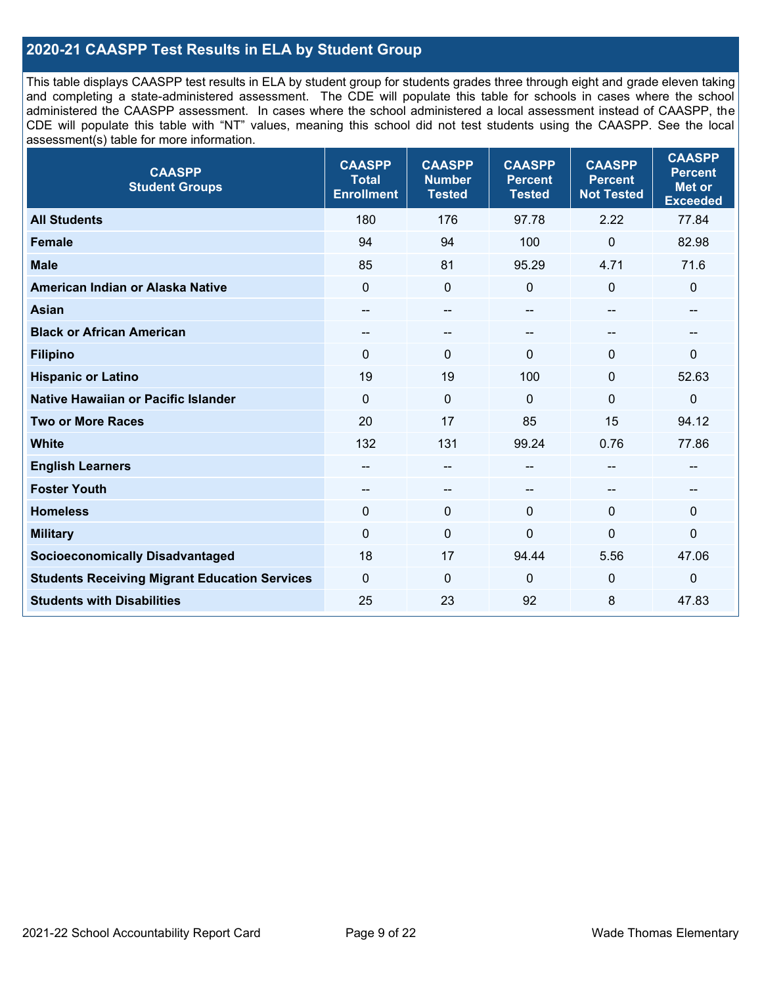### **2020-21 CAASPP Test Results in ELA by Student Group**

This table displays CAASPP test results in ELA by student group for students grades three through eight and grade eleven taking and completing a state-administered assessment. The CDE will populate this table for schools in cases where the school administered the CAASPP assessment. In cases where the school administered a local assessment instead of CAASPP, the CDE will populate this table with "NT" values, meaning this school did not test students using the CAASPP. See the local assessment(s) table for more information.

| <b>CAASPP</b><br><b>Student Groups</b>               | <b>CAASPP</b><br><b>Total</b><br><b>Enrollment</b> | <b>CAASPP</b><br><b>Number</b><br><b>Tested</b> | <b>CAASPP</b><br><b>Percent</b><br><b>Tested</b> | <b>CAASPP</b><br><b>Percent</b><br><b>Not Tested</b> | <b>CAASPP</b><br><b>Percent</b><br><b>Met or</b><br><b>Exceeded</b> |
|------------------------------------------------------|----------------------------------------------------|-------------------------------------------------|--------------------------------------------------|------------------------------------------------------|---------------------------------------------------------------------|
| <b>All Students</b>                                  | 180                                                | 176                                             | 97.78                                            | 2.22                                                 | 77.84                                                               |
| <b>Female</b>                                        | 94                                                 | 94                                              | 100                                              | 0                                                    | 82.98                                                               |
| <b>Male</b>                                          | 85                                                 | 81                                              | 95.29                                            | 4.71                                                 | 71.6                                                                |
| American Indian or Alaska Native                     | $\mathbf 0$                                        | $\mathbf 0$                                     | 0                                                | $\mathbf 0$                                          | $\mathbf 0$                                                         |
| <b>Asian</b>                                         | $\overline{\phantom{a}}$                           | $\qquad \qquad -$                               | --                                               | $-$                                                  | --                                                                  |
| <b>Black or African American</b>                     | --                                                 | $\overline{\phantom{m}}$                        | --                                               | $\overline{\phantom{a}}$                             | --                                                                  |
| <b>Filipino</b>                                      | $\Omega$                                           | $\mathbf{0}$                                    | $\Omega$                                         | $\Omega$                                             | $\mathbf{0}$                                                        |
| <b>Hispanic or Latino</b>                            | 19                                                 | 19                                              | 100                                              | $\mathbf{0}$                                         | 52.63                                                               |
| <b>Native Hawaiian or Pacific Islander</b>           | $\Omega$                                           | $\pmb{0}$                                       | $\mathbf 0$                                      | $\Omega$                                             | 0                                                                   |
| <b>Two or More Races</b>                             | 20                                                 | 17                                              | 85                                               | 15                                                   | 94.12                                                               |
| <b>White</b>                                         | 132                                                | 131                                             | 99.24                                            | 0.76                                                 | 77.86                                                               |
| <b>English Learners</b>                              | --                                                 | --                                              | --                                               | --                                                   |                                                                     |
| <b>Foster Youth</b>                                  | $- -$                                              | $\qquad \qquad -$                               | --                                               | --                                                   | --                                                                  |
| <b>Homeless</b>                                      | $\Omega$                                           | $\mathbf 0$                                     | $\mathbf{0}$                                     | $\mathbf{0}$                                         | $\mathbf 0$                                                         |
| <b>Military</b>                                      | $\mathbf 0$                                        | $\pmb{0}$                                       | 0                                                | 0                                                    | 0                                                                   |
| <b>Socioeconomically Disadvantaged</b>               | 18                                                 | 17                                              | 94.44                                            | 5.56                                                 | 47.06                                                               |
| <b>Students Receiving Migrant Education Services</b> | $\Omega$                                           | $\mathbf 0$                                     | 0                                                | $\mathbf 0$                                          | $\mathbf 0$                                                         |
| <b>Students with Disabilities</b>                    | 25                                                 | 23                                              | 92                                               | 8                                                    | 47.83                                                               |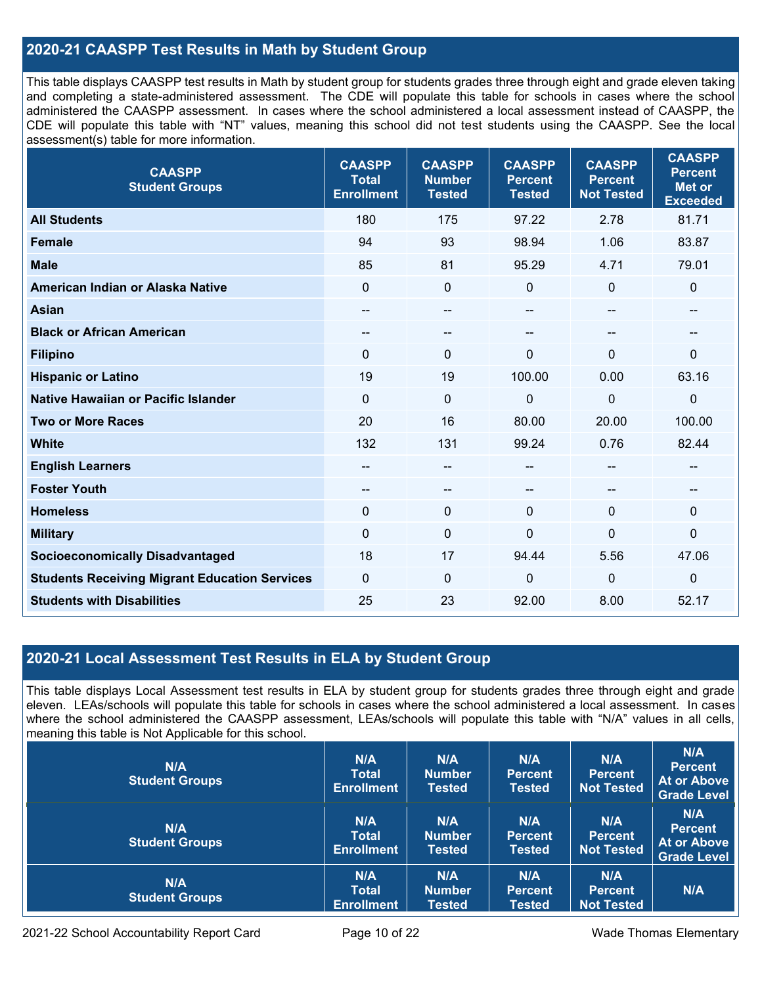### **2020-21 CAASPP Test Results in Math by Student Group**

This table displays CAASPP test results in Math by student group for students grades three through eight and grade eleven taking and completing a state-administered assessment. The CDE will populate this table for schools in cases where the school administered the CAASPP assessment. In cases where the school administered a local assessment instead of CAASPP, the CDE will populate this table with "NT" values, meaning this school did not test students using the CAASPP. See the local assessment(s) table for more information.

| <b>CAASPP</b><br><b>Student Groups</b>               | <b>CAASPP</b><br><b>Total</b><br><b>Enrollment</b> | <b>CAASPP</b><br><b>Number</b><br><b>Tested</b> | <b>CAASPP</b><br><b>Percent</b><br><b>Tested</b> | <b>CAASPP</b><br><b>Percent</b><br><b>Not Tested</b> | <b>CAASPP</b><br><b>Percent</b><br><b>Met or</b><br><b>Exceeded</b> |
|------------------------------------------------------|----------------------------------------------------|-------------------------------------------------|--------------------------------------------------|------------------------------------------------------|---------------------------------------------------------------------|
| <b>All Students</b>                                  | 180                                                | 175                                             | 97.22                                            | 2.78                                                 | 81.71                                                               |
| <b>Female</b>                                        | 94                                                 | 93                                              | 98.94                                            | 1.06                                                 | 83.87                                                               |
| <b>Male</b>                                          | 85                                                 | 81                                              | 95.29                                            | 4.71                                                 | 79.01                                                               |
| American Indian or Alaska Native                     | $\mathbf 0$                                        | $\mathbf 0$                                     | 0                                                | 0                                                    | $\pmb{0}$                                                           |
| <b>Asian</b>                                         | --                                                 | $-$                                             | --                                               | --                                                   | --                                                                  |
| <b>Black or African American</b>                     | $-$                                                | $\overline{\phantom{m}}$                        | --                                               | --                                                   | $\overline{\phantom{m}}$                                            |
| <b>Filipino</b>                                      | $\mathbf{0}$                                       | $\mathbf 0$                                     | $\Omega$                                         | $\Omega$                                             | $\mathbf 0$                                                         |
| <b>Hispanic or Latino</b>                            | 19                                                 | 19                                              | 100.00                                           | 0.00                                                 | 63.16                                                               |
| <b>Native Hawaiian or Pacific Islander</b>           | $\mathbf{0}$                                       | $\mathbf 0$                                     | $\mathbf 0$                                      | 0                                                    | $\mathbf 0$                                                         |
| <b>Two or More Races</b>                             | 20                                                 | 16                                              | 80.00                                            | 20.00                                                | 100.00                                                              |
| <b>White</b>                                         | 132                                                | 131                                             | 99.24                                            | 0.76                                                 | 82.44                                                               |
| <b>English Learners</b>                              |                                                    | $\qquad \qquad -$                               | --                                               | --                                                   | --                                                                  |
| <b>Foster Youth</b>                                  | --                                                 | $-$                                             | --                                               | --                                                   |                                                                     |
| <b>Homeless</b>                                      | $\mathbf{0}$                                       | $\mathbf 0$                                     | $\mathbf 0$                                      | $\Omega$                                             | $\mathbf 0$                                                         |
| <b>Military</b>                                      | $\mathbf 0$                                        | $\pmb{0}$                                       | $\mathbf 0$                                      | $\overline{0}$                                       | $\pmb{0}$                                                           |
| <b>Socioeconomically Disadvantaged</b>               | 18                                                 | 17                                              | 94.44                                            | 5.56                                                 | 47.06                                                               |
| <b>Students Receiving Migrant Education Services</b> | $\mathbf{0}$                                       | $\mathbf 0$                                     | $\mathbf{0}$                                     | 0                                                    | $\mathbf 0$                                                         |
| <b>Students with Disabilities</b>                    | 25                                                 | 23                                              | 92.00                                            | 8.00                                                 | 52.17                                                               |

#### **2020-21 Local Assessment Test Results in ELA by Student Group**

This table displays Local Assessment test results in ELA by student group for students grades three through eight and grade eleven. LEAs/schools will populate this table for schools in cases where the school administered a local assessment. In cases where the school administered the CAASPP assessment, LEAs/schools will populate this table with "N/A" values in all cells, meaning this table is Not Applicable for this school.

| N/A<br><b>Student Groups</b> | N/A<br><b>Total</b><br><b>Enrollment</b> | N/A<br><b>Number</b><br><b>Tested</b> | N/A<br><b>Percent</b><br>Tested        | N/A<br><b>Percent</b><br><b>Not Tested</b> | N/A<br><b>Percent</b><br>At or Above<br><b>Grade Level</b> |
|------------------------------|------------------------------------------|---------------------------------------|----------------------------------------|--------------------------------------------|------------------------------------------------------------|
| N/A<br><b>Student Groups</b> | N/A<br><b>Total</b><br><b>Enrollment</b> | N/A<br><b>Number</b><br><b>Tested</b> | N/A<br><b>Percent</b><br><b>Tested</b> | N/A<br><b>Percent</b><br><b>Not Tested</b> | N/A<br><b>Percent</b><br>At or Above<br><b>Grade Level</b> |
| N/A<br><b>Student Groups</b> | N/A<br><b>Total</b><br><b>Enrollment</b> | N/A<br><b>Number</b><br><b>Tested</b> | N/A<br><b>Percent</b><br><b>Tested</b> | N/A<br><b>Percent</b><br><b>Not Tested</b> | N/A                                                        |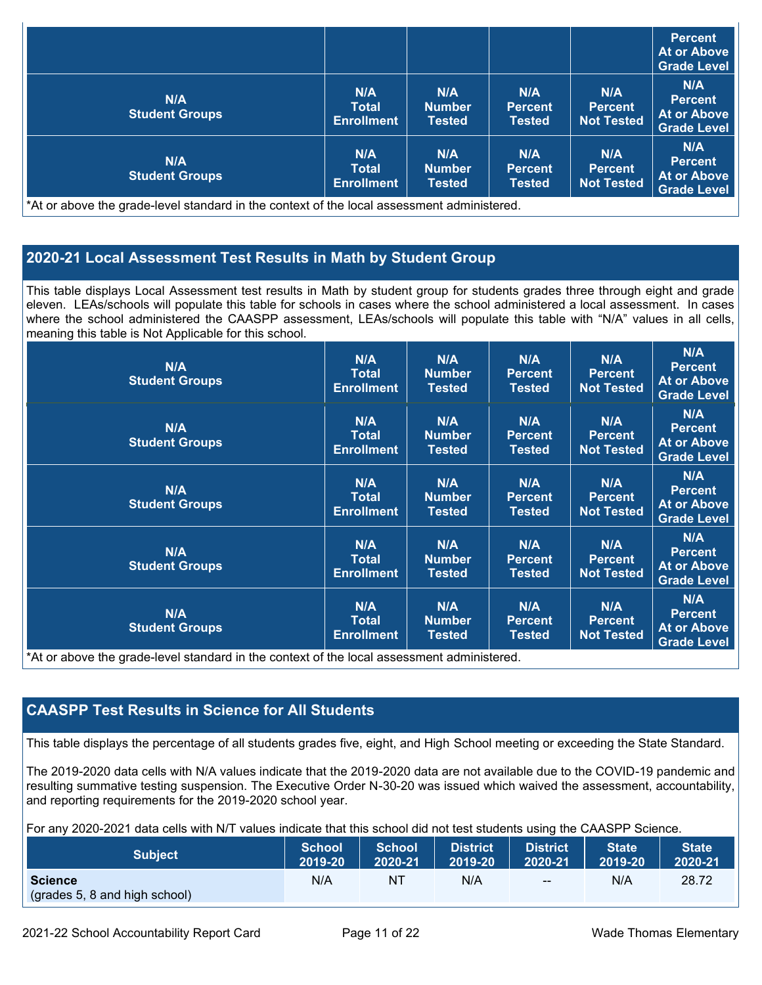|                                     |                                          |                                       |                                        |                                            | <b>Percent</b><br>At or Above<br><b>Grade Level</b>        |
|-------------------------------------|------------------------------------------|---------------------------------------|----------------------------------------|--------------------------------------------|------------------------------------------------------------|
| <b>N/A</b><br><b>Student Groups</b> | N/A<br><b>Total</b><br><b>Enrollment</b> | N/A<br><b>Number</b><br><b>Tested</b> | N/A<br><b>Percent</b><br><b>Tested</b> | N/A<br><b>Percent</b><br><b>Not Tested</b> | N/A<br><b>Percent</b><br>At or Above<br><b>Grade Level</b> |
| N/A<br><b>Student Groups</b>        | N/A<br>Total<br><b>Enrollment</b>        | N/A<br><b>Number</b><br><b>Tested</b> | N/A<br><b>Percent</b><br>Tested        | N/A<br><b>Percent</b><br>Not Tested        | N/A<br><b>Percent</b><br>At or Above<br><b>Grade Level</b> |

\*At or above the grade-level standard in the context of the local assessment administered.

### **2020-21 Local Assessment Test Results in Math by Student Group**

This table displays Local Assessment test results in Math by student group for students grades three through eight and grade eleven. LEAs/schools will populate this table for schools in cases where the school administered a local assessment. In cases where the school administered the CAASPP assessment, LEAs/schools will populate this table with "N/A" values in all cells, meaning this table is Not Applicable for this school.

| N/A<br><b>Student Groups</b>                                                                                                                | N/A<br><b>Total</b><br><b>Enrollment</b> | N/A<br><b>Number</b><br><b>Tested</b> | N/A<br><b>Percent</b><br><b>Tested</b> | N/A<br><b>Percent</b><br><b>Not Tested</b> | N/A<br><b>Percent</b><br><b>At or Above</b><br><b>Grade Level</b> |
|---------------------------------------------------------------------------------------------------------------------------------------------|------------------------------------------|---------------------------------------|----------------------------------------|--------------------------------------------|-------------------------------------------------------------------|
| <b>N/A</b><br><b>Student Groups</b>                                                                                                         | N/A<br><b>Total</b><br><b>Enrollment</b> | N/A<br><b>Number</b><br><b>Tested</b> | N/A<br><b>Percent</b><br><b>Tested</b> | N/A<br><b>Percent</b><br><b>Not Tested</b> | N/A<br><b>Percent</b><br><b>At or Above</b><br><b>Grade Level</b> |
| N/A<br><b>Student Groups</b>                                                                                                                | N/A<br><b>Total</b><br><b>Enrollment</b> | N/A<br><b>Number</b><br>Tested        | N/A<br><b>Percent</b><br><b>Tested</b> | N/A<br><b>Percent</b><br><b>Not Tested</b> | N/A<br><b>Percent</b><br><b>At or Above</b><br><b>Grade Level</b> |
| N/A<br><b>Student Groups</b>                                                                                                                | N/A<br><b>Total</b><br><b>Enrollment</b> | N/A<br><b>Number</b><br><b>Tested</b> | N/A<br><b>Percent</b><br><b>Tested</b> | N/A<br><b>Percent</b><br><b>Not Tested</b> | N/A<br><b>Percent</b><br><b>At or Above</b><br><b>Grade Level</b> |
| <b>N/A</b><br><b>Student Groups</b><br>*At an alarma that would have been doned by the completed of the house accession of a distributional | N/A<br><b>Total</b><br><b>Enrollment</b> | N/A<br><b>Number</b><br>Tested        | N/A<br><b>Percent</b><br><b>Tested</b> | N/A<br><b>Percent</b><br><b>Not Tested</b> | N/A<br><b>Percent</b><br><b>At or Above</b><br><b>Grade Level</b> |

\*At or above the grade-level standard in the context of the local assessment administered.

### **CAASPP Test Results in Science for All Students**

This table displays the percentage of all students grades five, eight, and High School meeting or exceeding the State Standard.

The 2019-2020 data cells with N/A values indicate that the 2019-2020 data are not available due to the COVID-19 pandemic and resulting summative testing suspension. The Executive Order N-30-20 was issued which waived the assessment, accountability, and reporting requirements for the 2019-2020 school year.

For any 2020-2021 data cells with N/T values indicate that this school did not test students using the CAASPP Science.

| <b>Subject</b>                                  | <b>School</b> | <b>School</b> | <b>District</b> | <b>District</b> | <b>State</b> | <b>State</b> |
|-------------------------------------------------|---------------|---------------|-----------------|-----------------|--------------|--------------|
|                                                 | 2019-20       | 2020-21       | 2019-20         | 2020-21         | 2019-20      | 2020-21      |
| <b>Science</b><br>(grades 5, 8 and high school) | N/A           | NT.           | N/A             | $- -$           | N/A          | 28.72        |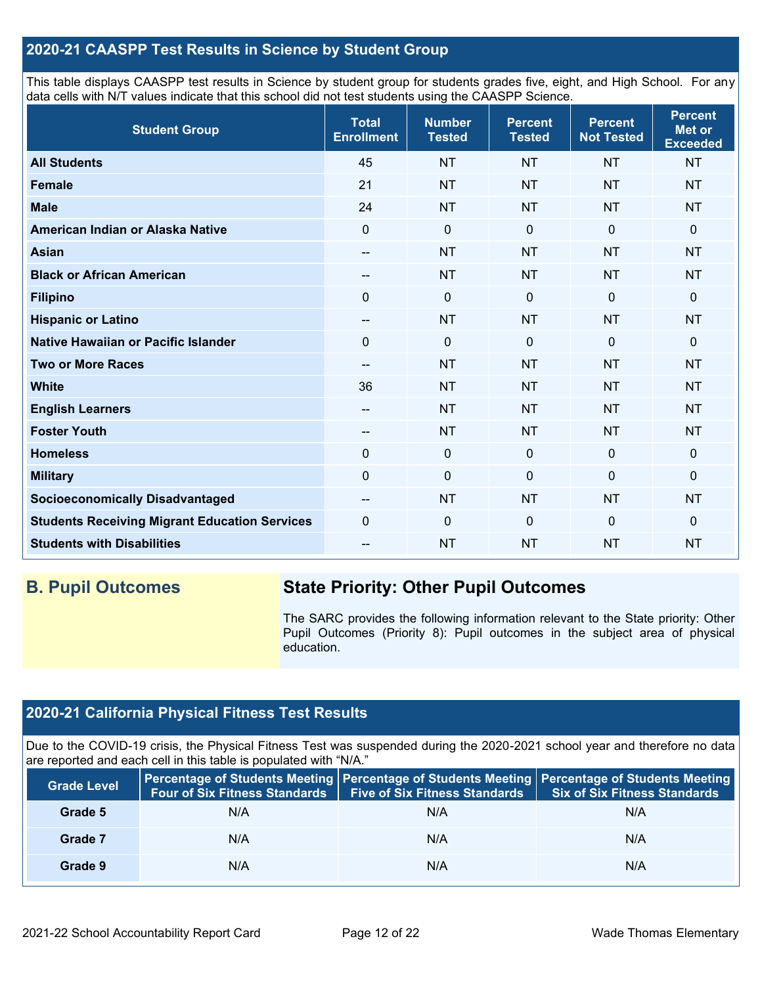#### **2020-21 CAASPP Test Results in Science by Student Group**

This table displays CAASPP test results in Science by student group for students grades five, eight, and High School. For any data cells with N/T values indicate that this school did not test students using the CAASPP Science.

| <b>Student Group</b>                                 | <b>Total</b><br><b>Enrollment</b>     | <b>Number</b><br><b>Tested</b> | <b>Percent</b><br><b>Tested</b> | <b>Percent</b><br><b>Not Tested</b> | <b>Percent</b><br>Met or<br><b>Exceeded</b> |
|------------------------------------------------------|---------------------------------------|--------------------------------|---------------------------------|-------------------------------------|---------------------------------------------|
| <b>All Students</b>                                  | 45                                    | <b>NT</b>                      | <b>NT</b>                       | <b>NT</b>                           | <b>NT</b>                                   |
| <b>Female</b>                                        | 21                                    | <b>NT</b>                      | <b>NT</b>                       | <b>NT</b>                           | <b>NT</b>                                   |
| <b>Male</b>                                          | 24                                    | <b>NT</b>                      | <b>NT</b>                       | <b>NT</b>                           | <b>NT</b>                                   |
| American Indian or Alaska Native                     | 0                                     | $\mathbf 0$                    | $\mathbf 0$                     | $\mathbf{0}$                        | 0                                           |
| <b>Asian</b>                                         | --                                    | <b>NT</b>                      | <b>NT</b>                       | <b>NT</b>                           | <b>NT</b>                                   |
| <b>Black or African American</b>                     | --                                    | <b>NT</b>                      | <b>NT</b>                       | <b>NT</b>                           | <b>NT</b>                                   |
| <b>Filipino</b>                                      | 0                                     | $\mathbf 0$                    | $\mathbf 0$                     | $\mathbf 0$                         | $\mathbf 0$                                 |
| <b>Hispanic or Latino</b>                            | $\overline{\phantom{m}}$              | <b>NT</b>                      | <b>NT</b>                       | <b>NT</b>                           | <b>NT</b>                                   |
| Native Hawaiian or Pacific Islander                  | $\Omega$                              | $\mathbf 0$                    | $\Omega$                        | $\overline{0}$                      | 0                                           |
| <b>Two or More Races</b>                             | --                                    | <b>NT</b>                      | <b>NT</b>                       | <b>NT</b>                           | <b>NT</b>                                   |
| <b>White</b>                                         | 36                                    | <b>NT</b>                      | <b>NT</b>                       | <b>NT</b>                           | <b>NT</b>                                   |
| <b>English Learners</b>                              | $\hspace{0.05cm}$ – $\hspace{0.05cm}$ | <b>NT</b>                      | <b>NT</b>                       | <b>NT</b>                           | <b>NT</b>                                   |
| <b>Foster Youth</b>                                  | --                                    | <b>NT</b>                      | <b>NT</b>                       | <b>NT</b>                           | <b>NT</b>                                   |
| <b>Homeless</b>                                      | 0                                     | $\pmb{0}$                      | $\mathbf 0$                     | $\mathbf 0$                         | $\mathbf 0$                                 |
| <b>Military</b>                                      | 0                                     | $\pmb{0}$                      | $\Omega$                        | 0                                   | 0                                           |
| <b>Socioeconomically Disadvantaged</b>               | $\overline{\phantom{a}}$              | <b>NT</b>                      | <b>NT</b>                       | <b>NT</b>                           | <b>NT</b>                                   |
| <b>Students Receiving Migrant Education Services</b> | 0                                     | $\mathbf 0$                    | $\Omega$                        | $\mathbf 0$                         | 0                                           |
| <b>Students with Disabilities</b>                    | --                                    | <b>NT</b>                      | <b>NT</b>                       | <b>NT</b>                           | <b>NT</b>                                   |

# **B. Pupil Outcomes State Priority: Other Pupil Outcomes**

The SARC provides the following information relevant to the State priority: Other Pupil Outcomes (Priority 8): Pupil outcomes in the subject area of physical education.

## **2020-21 California Physical Fitness Test Results**

Due to the COVID-19 crisis, the Physical Fitness Test was suspended during the 2020-2021 school year and therefore no data are reported and each cell in this table is populated with "N/A."

| <b>Grade Level</b> | <b>Four of Six Fitness Standards</b> | <b>Five of Six Fitness Standards</b> | Percentage of Students Meeting   Percentage of Students Meeting   Percentage of Students Meeting<br><b>Six of Six Fitness Standards</b> |
|--------------------|--------------------------------------|--------------------------------------|-----------------------------------------------------------------------------------------------------------------------------------------|
| Grade 5            | N/A                                  | N/A                                  | N/A                                                                                                                                     |
| Grade 7            | N/A                                  | N/A                                  | N/A                                                                                                                                     |
| Grade 9            | N/A                                  | N/A                                  | N/A                                                                                                                                     |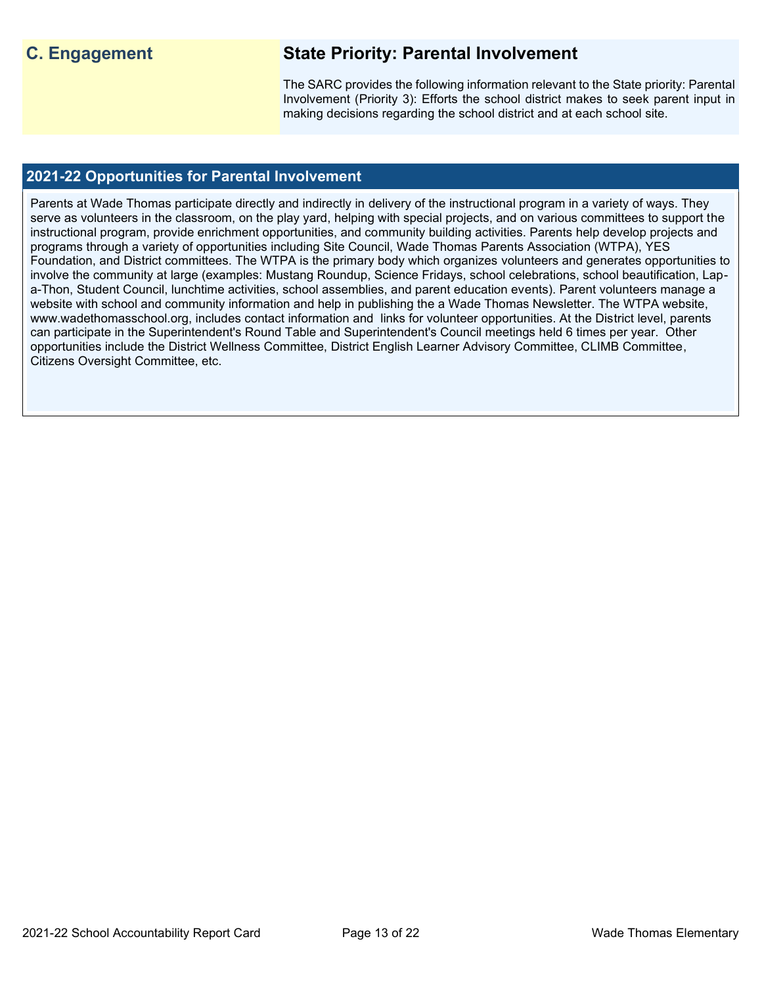# **C. Engagement State Priority: Parental Involvement**

The SARC provides the following information relevant to the State priority: Parental Involvement (Priority 3): Efforts the school district makes to seek parent input in making decisions regarding the school district and at each school site.

#### **2021-22 Opportunities for Parental Involvement**

Parents at Wade Thomas participate directly and indirectly in delivery of the instructional program in a variety of ways. They serve as volunteers in the classroom, on the play yard, helping with special projects, and on various committees to support the instructional program, provide enrichment opportunities, and community building activities. Parents help develop projects and programs through a variety of opportunities including Site Council, Wade Thomas Parents Association (WTPA), YES Foundation, and District committees. The WTPA is the primary body which organizes volunteers and generates opportunities to involve the community at large (examples: Mustang Roundup, Science Fridays, school celebrations, school beautification, Lapa-Thon, Student Council, lunchtime activities, school assemblies, and parent education events). Parent volunteers manage a website with school and community information and help in publishing the a Wade Thomas Newsletter. The WTPA website, www.wadethomasschool.org, includes contact information and links for volunteer opportunities. At the District level, parents can participate in the Superintendent's Round Table and Superintendent's Council meetings held 6 times per year. Other opportunities include the District Wellness Committee, District English Learner Advisory Committee, CLIMB Committee, Citizens Oversight Committee, etc.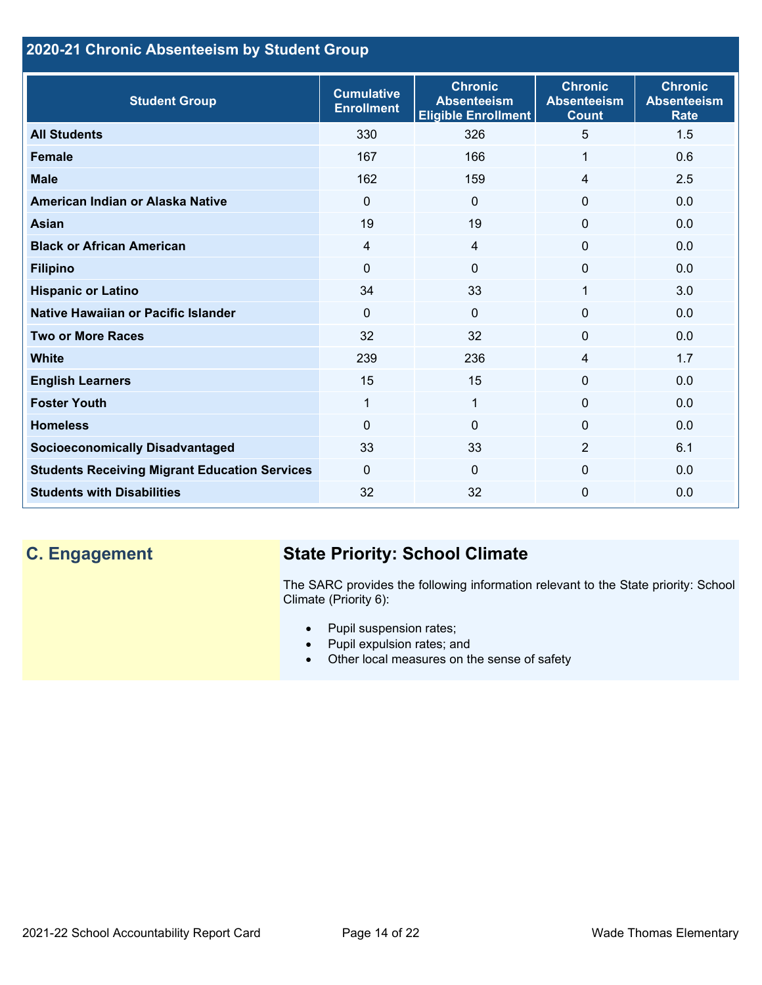## **2020-21 Chronic Absenteeism by Student Group**

| <b>Student Group</b>                                 | <b>Cumulative</b><br><b>Enrollment</b> | <b>Chronic</b><br><b>Absenteeism</b><br><b>Eligible Enrollment</b> | <b>Chronic</b><br><b>Absenteeism</b><br><b>Count</b> | <b>Chronic</b><br><b>Absenteeism</b><br><b>Rate</b> |
|------------------------------------------------------|----------------------------------------|--------------------------------------------------------------------|------------------------------------------------------|-----------------------------------------------------|
| <b>All Students</b>                                  | 330                                    | 326                                                                | 5                                                    | 1.5                                                 |
| <b>Female</b>                                        | 167                                    | 166                                                                | 1                                                    | 0.6                                                 |
| <b>Male</b>                                          | 162                                    | 159                                                                | 4                                                    | 2.5                                                 |
| American Indian or Alaska Native                     | $\Omega$                               | $\mathbf{0}$                                                       | $\mathbf{0}$                                         | 0.0                                                 |
| <b>Asian</b>                                         | 19                                     | 19                                                                 | $\mathbf 0$                                          | 0.0                                                 |
| <b>Black or African American</b>                     | $\overline{4}$                         | $\overline{4}$                                                     | $\mathbf{0}$                                         | 0.0                                                 |
| <b>Filipino</b>                                      | 0                                      | $\mathbf{0}$                                                       | $\mathbf 0$                                          | 0.0                                                 |
| <b>Hispanic or Latino</b>                            | 34                                     | 33                                                                 | 1                                                    | 3.0                                                 |
| Native Hawaiian or Pacific Islander                  | $\Omega$                               | $\overline{0}$                                                     | $\mathbf 0$                                          | 0.0                                                 |
| <b>Two or More Races</b>                             | 32                                     | 32                                                                 | $\mathbf{0}$                                         | 0.0                                                 |
| <b>White</b>                                         | 239                                    | 236                                                                | 4                                                    | 1.7                                                 |
| <b>English Learners</b>                              | 15                                     | 15                                                                 | $\Omega$                                             | 0.0                                                 |
| <b>Foster Youth</b>                                  | $\mathbf{1}$                           | $\mathbf 1$                                                        | $\Omega$                                             | 0.0                                                 |
| <b>Homeless</b>                                      | 0                                      | $\mathbf 0$                                                        | $\Omega$                                             | 0.0                                                 |
| <b>Socioeconomically Disadvantaged</b>               | 33                                     | 33                                                                 | 2                                                    | 6.1                                                 |
| <b>Students Receiving Migrant Education Services</b> | $\mathbf{0}$                           | $\Omega$                                                           | $\Omega$                                             | 0.0                                                 |
| <b>Students with Disabilities</b>                    | 32                                     | 32                                                                 | $\Omega$                                             | 0.0                                                 |

# **C. Engagement State Priority: School Climate**

The SARC provides the following information relevant to the State priority: School Climate (Priority 6):

- Pupil suspension rates;
- Pupil expulsion rates; and
- Other local measures on the sense of safety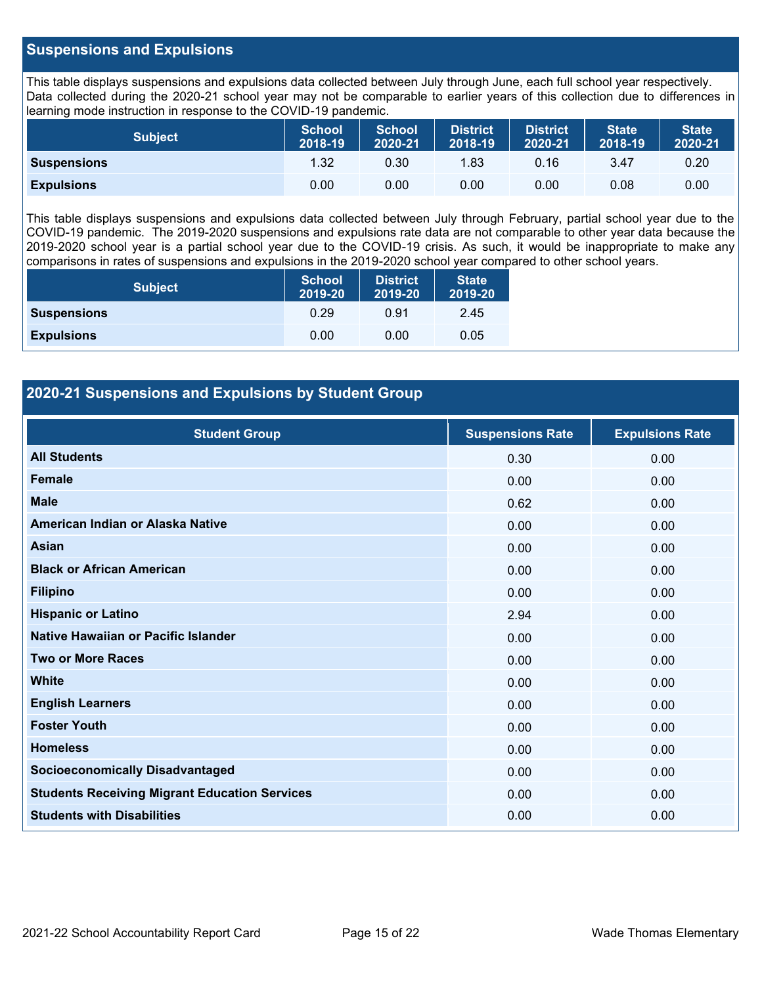#### **Suspensions and Expulsions**

This table displays suspensions and expulsions data collected between July through June, each full school year respectively. Data collected during the 2020-21 school year may not be comparable to earlier years of this collection due to differences in learning mode instruction in response to the COVID-19 pandemic.

| <b>Subject</b>     | <b>School</b><br>2018-19 | <b>School</b><br>2020-21 | <b>District</b><br>2018-19 | <b>District</b><br>2020-21 | <b>State</b><br>2018-19 | <b>State</b><br>2020-21 |
|--------------------|--------------------------|--------------------------|----------------------------|----------------------------|-------------------------|-------------------------|
| <b>Suspensions</b> | 1.32                     | 0.30                     | 1.83                       | 0.16                       | 3.47                    | 0.20                    |
| <b>Expulsions</b>  | 0.00                     | 0.00                     | 0.00                       | 0.00                       | 0.08                    | 0.00                    |

This table displays suspensions and expulsions data collected between July through February, partial school year due to the COVID-19 pandemic. The 2019-2020 suspensions and expulsions rate data are not comparable to other year data because the 2019-2020 school year is a partial school year due to the COVID-19 crisis. As such, it would be inappropriate to make any comparisons in rates of suspensions and expulsions in the 2019-2020 school year compared to other school years.

| <b>Subject</b>     | <b>School</b><br>2019-20 | <b>District</b><br>2019-20 | <b>State</b><br>2019-20 |
|--------------------|--------------------------|----------------------------|-------------------------|
| <b>Suspensions</b> | 0.29                     | 0.91                       | 2.45                    |
| <b>Expulsions</b>  | 0.00                     | 0.00                       | 0.05                    |

#### **2020-21 Suspensions and Expulsions by Student Group**

| <b>Student Group</b>                                 | <b>Suspensions Rate</b> | <b>Expulsions Rate</b> |
|------------------------------------------------------|-------------------------|------------------------|
| <b>All Students</b>                                  | 0.30                    | 0.00                   |
| <b>Female</b>                                        | 0.00                    | 0.00                   |
| <b>Male</b>                                          | 0.62                    | 0.00                   |
| American Indian or Alaska Native                     | 0.00                    | 0.00                   |
| <b>Asian</b>                                         | 0.00                    | 0.00                   |
| <b>Black or African American</b>                     | 0.00                    | 0.00                   |
| <b>Filipino</b>                                      | 0.00                    | 0.00                   |
| <b>Hispanic or Latino</b>                            | 2.94                    | 0.00                   |
| Native Hawaiian or Pacific Islander                  | 0.00                    | 0.00                   |
| <b>Two or More Races</b>                             | 0.00                    | 0.00                   |
| <b>White</b>                                         | 0.00                    | 0.00                   |
| <b>English Learners</b>                              | 0.00                    | 0.00                   |
| <b>Foster Youth</b>                                  | 0.00                    | 0.00                   |
| <b>Homeless</b>                                      | 0.00                    | 0.00                   |
| <b>Socioeconomically Disadvantaged</b>               | 0.00                    | 0.00                   |
| <b>Students Receiving Migrant Education Services</b> | 0.00                    | 0.00                   |
| <b>Students with Disabilities</b>                    | 0.00                    | 0.00                   |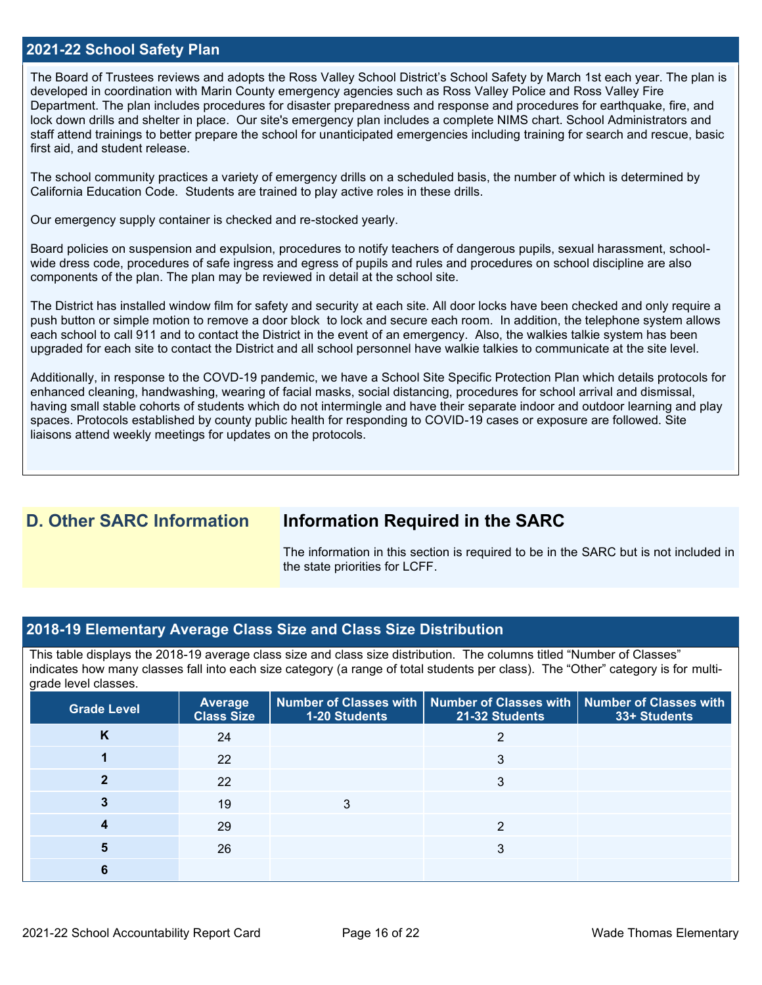#### **2021-22 School Safety Plan**

The Board of Trustees reviews and adopts the Ross Valley School District's School Safety by March 1st each year. The plan is developed in coordination with Marin County emergency agencies such as Ross Valley Police and Ross Valley Fire Department. The plan includes procedures for disaster preparedness and response and procedures for earthquake, fire, and lock down drills and shelter in place. Our site's emergency plan includes a complete NIMS chart. School Administrators and staff attend trainings to better prepare the school for unanticipated emergencies including training for search and rescue, basic first aid, and student release.

The school community practices a variety of emergency drills on a scheduled basis, the number of which is determined by California Education Code. Students are trained to play active roles in these drills.

Our emergency supply container is checked and re-stocked yearly.

Board policies on suspension and expulsion, procedures to notify teachers of dangerous pupils, sexual harassment, schoolwide dress code, procedures of safe ingress and egress of pupils and rules and procedures on school discipline are also components of the plan. The plan may be reviewed in detail at the school site.

The District has installed window film for safety and security at each site. All door locks have been checked and only require a push button or simple motion to remove a door block to lock and secure each room. In addition, the telephone system allows each school to call 911 and to contact the District in the event of an emergency. Also, the walkies talkie system has been upgraded for each site to contact the District and all school personnel have walkie talkies to communicate at the site level.

Additionally, in response to the COVD-19 pandemic, we have a School Site Specific Protection Plan which details protocols for enhanced cleaning, handwashing, wearing of facial masks, social distancing, procedures for school arrival and dismissal, having small stable cohorts of students which do not intermingle and have their separate indoor and outdoor learning and play spaces. Protocols established by county public health for responding to COVID-19 cases or exposure are followed. Site liaisons attend weekly meetings for updates on the protocols.

## **D. Other SARC Information Information Required in the SARC**

The information in this section is required to be in the SARC but is not included in the state priorities for LCFF.

#### **2018-19 Elementary Average Class Size and Class Size Distribution**

This table displays the 2018-19 average class size and class size distribution. The columns titled "Number of Classes" indicates how many classes fall into each size category (a range of total students per class). The "Other" category is for multigrade level classes.

| <b>Grade Level</b> | <b>Average</b><br><b>Class Size</b> | 1-20 Students | Number of Classes with   Number of Classes with   Number of Classes with<br>21-32 Students | 33+ Students |
|--------------------|-------------------------------------|---------------|--------------------------------------------------------------------------------------------|--------------|
| K                  | 24                                  |               |                                                                                            |              |
|                    | 22                                  |               | 3                                                                                          |              |
|                    | 22                                  |               | 3                                                                                          |              |
|                    | 19                                  |               |                                                                                            |              |
|                    | 29                                  |               | ∩                                                                                          |              |
|                    | 26                                  |               | ⌒                                                                                          |              |
|                    |                                     |               |                                                                                            |              |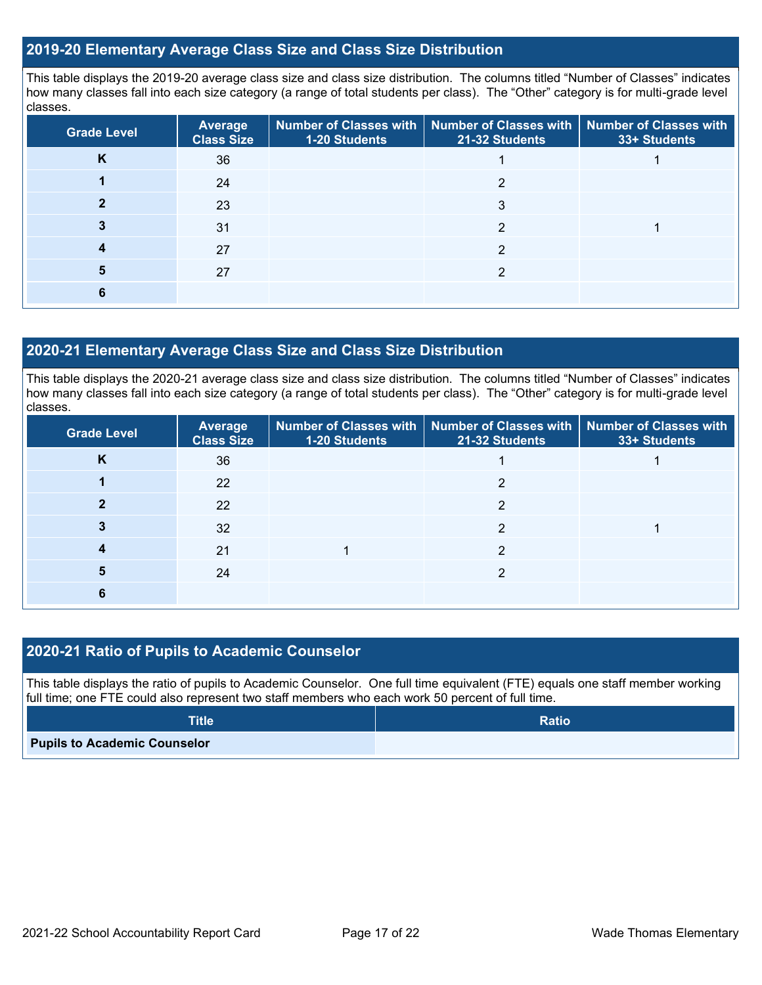#### **2019-20 Elementary Average Class Size and Class Size Distribution**

This table displays the 2019-20 average class size and class size distribution. The columns titled "Number of Classes" indicates how many classes fall into each size category (a range of total students per class). The "Other" category is for multi-grade level classes.

| <b>Grade Level</b> | <b>Average</b><br><b>Class Size</b> | 1-20 Students | Number of Classes with   Number of Classes with<br>21-32 Students | <b>Number of Classes with</b><br>33+ Students |
|--------------------|-------------------------------------|---------------|-------------------------------------------------------------------|-----------------------------------------------|
| n.                 | 36                                  |               |                                                                   |                                               |
|                    | 24                                  |               | ◠                                                                 |                                               |
|                    | 23                                  |               | 3                                                                 |                                               |
|                    | 31                                  |               | ≘                                                                 |                                               |
|                    | 27                                  |               | ∩                                                                 |                                               |
| 5                  | 27                                  |               | っ                                                                 |                                               |
|                    |                                     |               |                                                                   |                                               |

#### **2020-21 Elementary Average Class Size and Class Size Distribution**

This table displays the 2020-21 average class size and class size distribution. The columns titled "Number of Classes" indicates how many classes fall into each size category (a range of total students per class). The "Other" category is for multi-grade level classes.

| <b>Grade Level</b> | <b>Average</b><br><b>Class Size</b> | 1-20 Students | Number of Classes with   Number of Classes with   Number of Classes with<br>21-32 Students | 33+ Students |
|--------------------|-------------------------------------|---------------|--------------------------------------------------------------------------------------------|--------------|
| K                  | 36                                  |               |                                                                                            |              |
|                    | 22                                  |               | っ                                                                                          |              |
|                    | 22                                  |               | っ                                                                                          |              |
|                    | 32                                  |               | ⌒                                                                                          |              |
|                    | 21                                  |               | ົ                                                                                          |              |
|                    | 24                                  |               | ⌒                                                                                          |              |
|                    |                                     |               |                                                                                            |              |

#### **2020-21 Ratio of Pupils to Academic Counselor**

This table displays the ratio of pupils to Academic Counselor. One full time equivalent (FTE) equals one staff member working full time; one FTE could also represent two staff members who each work 50 percent of full time.

| <b>Title</b>                        | <b>Ratio</b> |
|-------------------------------------|--------------|
| <b>Pupils to Academic Counselor</b> |              |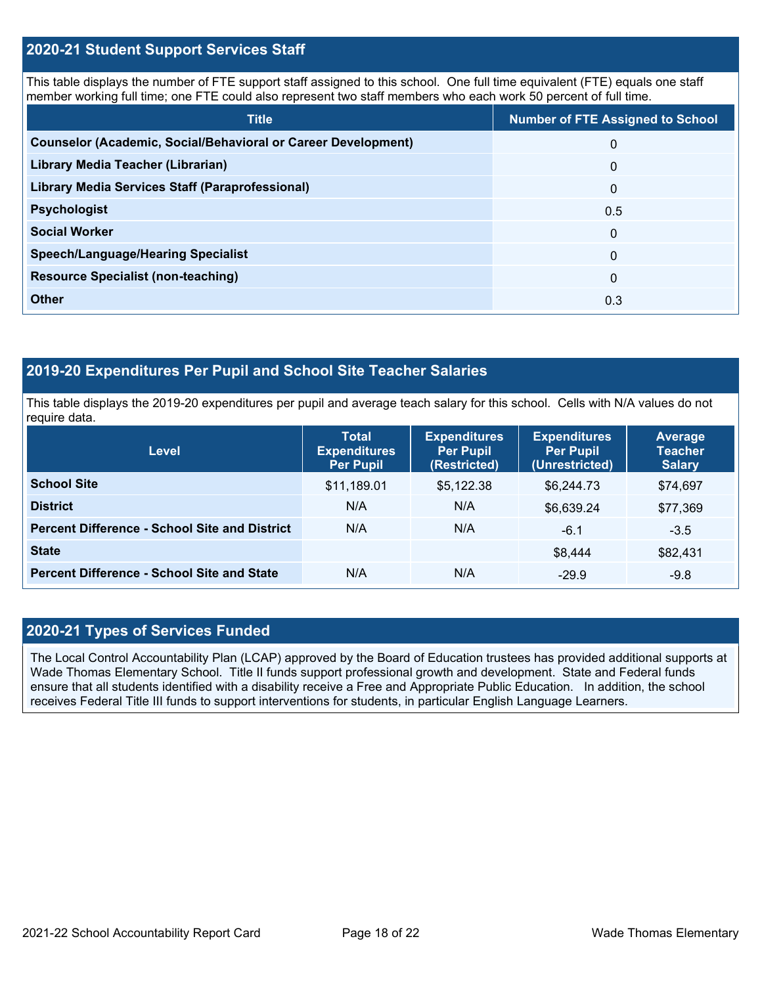#### **2020-21 Student Support Services Staff**

This table displays the number of FTE support staff assigned to this school. One full time equivalent (FTE) equals one staff member working full time; one FTE could also represent two staff members who each work 50 percent of full time.

| <b>Title</b>                                                         | <b>Number of FTE Assigned to School</b> |
|----------------------------------------------------------------------|-----------------------------------------|
| <b>Counselor (Academic, Social/Behavioral or Career Development)</b> | 0                                       |
| Library Media Teacher (Librarian)                                    | $\mathbf{0}$                            |
| <b>Library Media Services Staff (Paraprofessional)</b>               | $\overline{0}$                          |
| <b>Psychologist</b>                                                  | 0.5                                     |
| <b>Social Worker</b>                                                 | $\mathbf{0}$                            |
| <b>Speech/Language/Hearing Specialist</b>                            | $\Omega$                                |
| <b>Resource Specialist (non-teaching)</b>                            | $\overline{0}$                          |
| <b>Other</b>                                                         | 0.3                                     |

## **2019-20 Expenditures Per Pupil and School Site Teacher Salaries**

This table displays the 2019-20 expenditures per pupil and average teach salary for this school. Cells with N/A values do not require data.

| Level                                                | <b>Total</b><br><b>Expenditures</b><br><b>Per Pupil</b> | <b>Expenditures</b><br><b>Per Pupil</b><br>(Restricted) | <b>Expenditures</b><br><b>Per Pupil</b><br>(Unrestricted) | Average<br><b>Teacher</b><br><b>Salary</b> |
|------------------------------------------------------|---------------------------------------------------------|---------------------------------------------------------|-----------------------------------------------------------|--------------------------------------------|
| <b>School Site</b>                                   | \$11,189.01                                             | \$5,122.38                                              | \$6,244.73                                                | \$74,697                                   |
| <b>District</b>                                      | N/A                                                     | N/A                                                     | \$6,639.24                                                | \$77,369                                   |
| <b>Percent Difference - School Site and District</b> | N/A                                                     | N/A                                                     | $-6.1$                                                    | $-3.5$                                     |
| <b>State</b>                                         |                                                         |                                                         | \$8,444                                                   | \$82,431                                   |
| <b>Percent Difference - School Site and State</b>    | N/A                                                     | N/A                                                     | $-29.9$                                                   | $-9.8$                                     |

#### **2020-21 Types of Services Funded**

The Local Control Accountability Plan (LCAP) approved by the Board of Education trustees has provided additional supports at Wade Thomas Elementary School. Title II funds support professional growth and development. State and Federal funds ensure that all students identified with a disability receive a Free and Appropriate Public Education. In addition, the school receives Federal Title III funds to support interventions for students, in particular English Language Learners.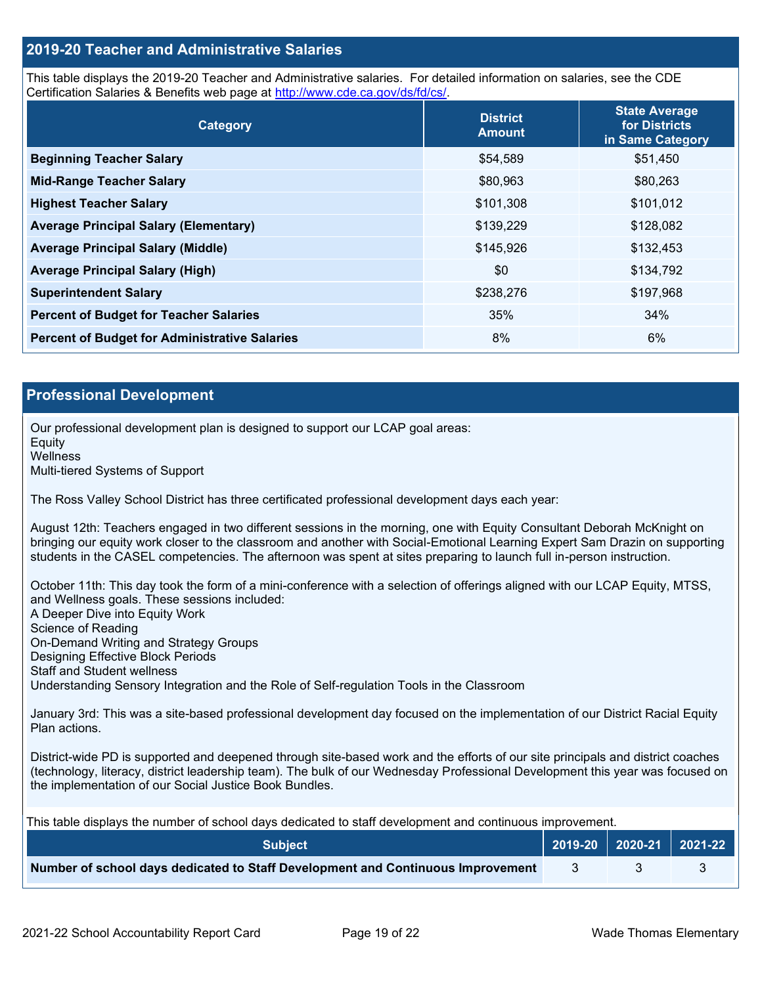#### **2019-20 Teacher and Administrative Salaries**

This table displays the 2019-20 Teacher and Administrative salaries. For detailed information on salaries, see the CDE Certification Salaries & Benefits web page at [http://www.cde.ca.gov/ds/fd/cs/.](http://www.cde.ca.gov/ds/fd/cs/)

| Category                                             | <b>District</b><br><b>Amount</b> | <b>State Average</b><br>for Districts<br>in Same Category |
|------------------------------------------------------|----------------------------------|-----------------------------------------------------------|
| <b>Beginning Teacher Salary</b>                      | \$54,589                         | \$51,450                                                  |
| <b>Mid-Range Teacher Salary</b>                      | \$80,963                         | \$80,263                                                  |
| <b>Highest Teacher Salary</b>                        | \$101,308                        | \$101,012                                                 |
| <b>Average Principal Salary (Elementary)</b>         | \$139,229                        | \$128,082                                                 |
| <b>Average Principal Salary (Middle)</b>             | \$145,926                        | \$132,453                                                 |
| <b>Average Principal Salary (High)</b>               | \$0                              | \$134,792                                                 |
| <b>Superintendent Salary</b>                         | \$238,276                        | \$197,968                                                 |
| <b>Percent of Budget for Teacher Salaries</b>        | 35%                              | 34%                                                       |
| <b>Percent of Budget for Administrative Salaries</b> | 8%                               | 6%                                                        |

#### **Professional Development**

Our professional development plan is designed to support our LCAP goal areas: **Equity Wellness** Multi-tiered Systems of Support

The Ross Valley School District has three certificated professional development days each year:

August 12th: Teachers engaged in two different sessions in the morning, one with Equity Consultant Deborah McKnight on bringing our equity work closer to the classroom and another with Social-Emotional Learning Expert Sam Drazin on supporting students in the CASEL competencies. The afternoon was spent at sites preparing to launch full in-person instruction.

October 11th: This day took the form of a mini-conference with a selection of offerings aligned with our LCAP Equity, MTSS, and Wellness goals. These sessions included: A Deeper Dive into Equity Work Science of Reading On-Demand Writing and Strategy Groups Designing Effective Block Periods Staff and Student wellness Understanding Sensory Integration and the Role of Self-regulation Tools in the Classroom

January 3rd: This was a site-based professional development day focused on the implementation of our District Racial Equity Plan actions.

District-wide PD is supported and deepened through site-based work and the efforts of our site principals and district coaches (technology, literacy, district leadership team). The bulk of our Wednesday Professional Development this year was focused on the implementation of our Social Justice Book Bundles.

| This table displays the number of school days dedicated to staff development and continuous improvement. |                                                         |  |  |  |
|----------------------------------------------------------------------------------------------------------|---------------------------------------------------------|--|--|--|
| <b>Subject</b>                                                                                           | $\vert$ 2019-20 $\vert$ 2020-21 $\vert$ 2021-22 $\vert$ |  |  |  |
| Number of school days dedicated to Staff Development and Continuous Improvement                          |                                                         |  |  |  |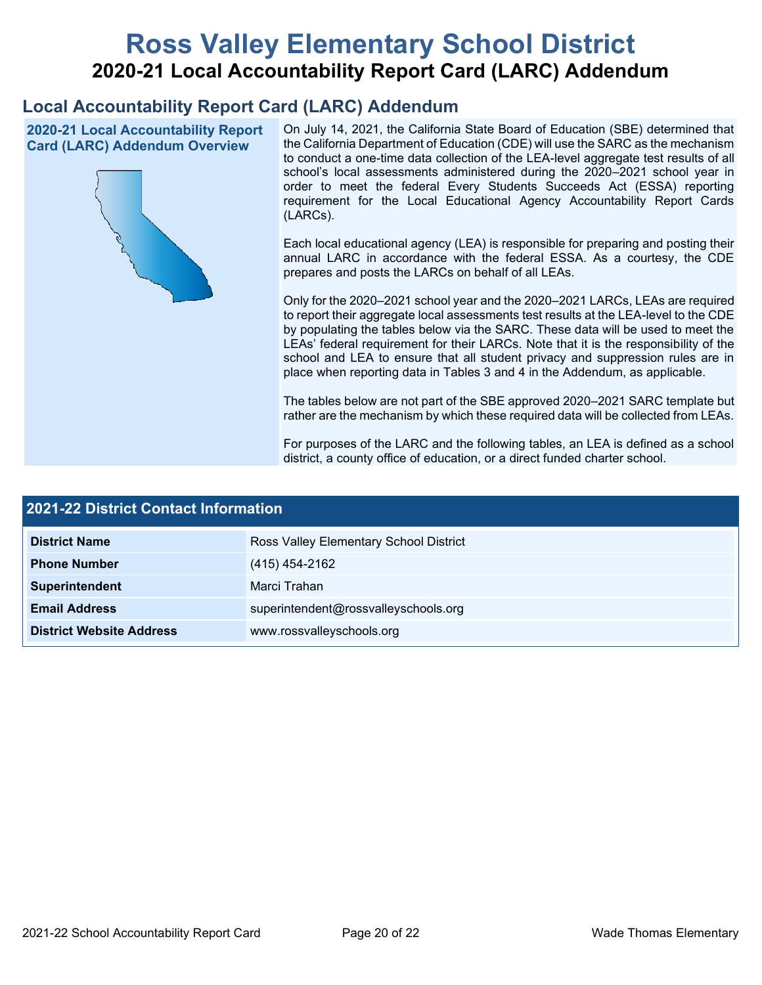# **Ross Valley Elementary School District 2020-21 Local Accountability Report Card (LARC) Addendum**

# **Local Accountability Report Card (LARC) Addendum**

**2020-21 Local Accountability Report Card (LARC) Addendum Overview**



On July 14, 2021, the California State Board of Education (SBE) determined that the California Department of Education (CDE) will use the SARC as the mechanism to conduct a one-time data collection of the LEA-level aggregate test results of all school's local assessments administered during the 2020–2021 school year in order to meet the federal Every Students Succeeds Act (ESSA) reporting requirement for the Local Educational Agency Accountability Report Cards (LARCs).

Each local educational agency (LEA) is responsible for preparing and posting their annual LARC in accordance with the federal ESSA. As a courtesy, the CDE prepares and posts the LARCs on behalf of all LEAs.

Only for the 2020–2021 school year and the 2020–2021 LARCs, LEAs are required to report their aggregate local assessments test results at the LEA-level to the CDE by populating the tables below via the SARC. These data will be used to meet the LEAs' federal requirement for their LARCs. Note that it is the responsibility of the school and LEA to ensure that all student privacy and suppression rules are in place when reporting data in Tables 3 and 4 in the Addendum, as applicable.

The tables below are not part of the SBE approved 2020–2021 SARC template but rather are the mechanism by which these required data will be collected from LEAs.

For purposes of the LARC and the following tables, an LEA is defined as a school district, a county office of education, or a direct funded charter school.

| <b>2021-22 District Contact Information</b> |                                        |  |  |
|---------------------------------------------|----------------------------------------|--|--|
| <b>District Name</b>                        | Ross Valley Elementary School District |  |  |
| <b>Phone Number</b>                         | (415) 454-2162                         |  |  |
| Superintendent                              | Marci Trahan                           |  |  |
| <b>Email Address</b>                        | superintendent@rossvalleyschools.org   |  |  |
| <b>District Website Address</b>             | www.rossvalleyschools.org              |  |  |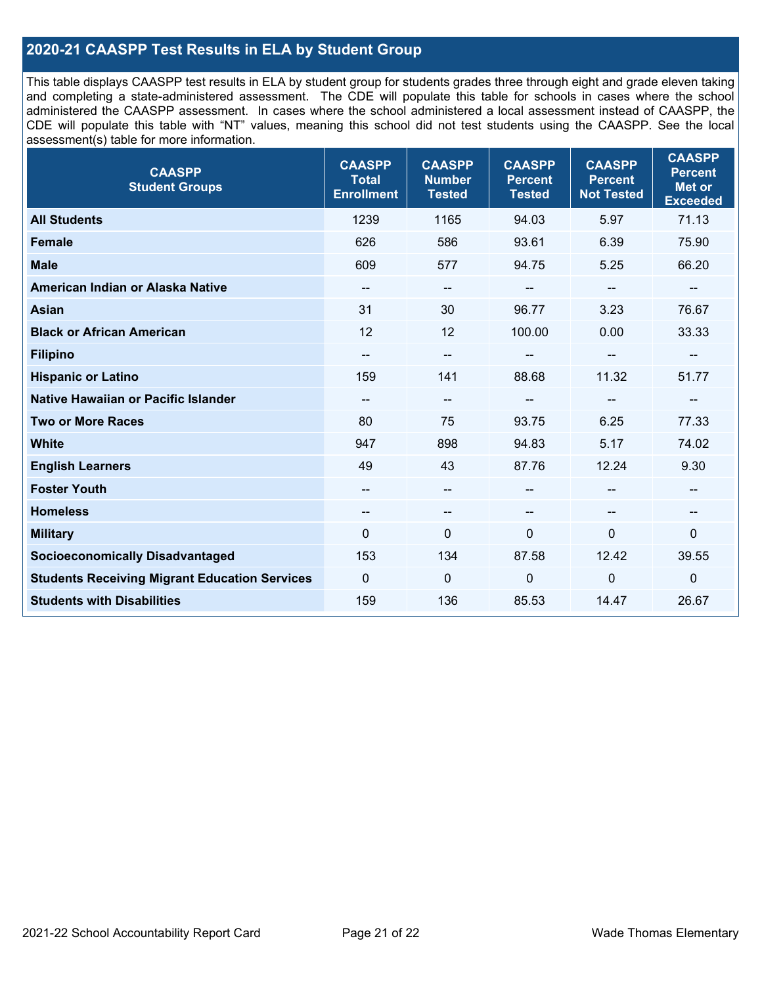### **2020-21 CAASPP Test Results in ELA by Student Group**

This table displays CAASPP test results in ELA by student group for students grades three through eight and grade eleven taking and completing a state-administered assessment. The CDE will populate this table for schools in cases where the school administered the CAASPP assessment. In cases where the school administered a local assessment instead of CAASPP, the CDE will populate this table with "NT" values, meaning this school did not test students using the CAASPP. See the local assessment(s) table for more information.

| <b>CAASPP</b><br><b>Student Groups</b>               | <b>CAASPP</b><br><b>Total</b><br><b>Enrollment</b> | <b>CAASPP</b><br><b>Number</b><br><b>Tested</b> | <b>CAASPP</b><br><b>Percent</b><br><b>Tested</b> | <b>CAASPP</b><br><b>Percent</b><br><b>Not Tested</b> | <b>CAASPP</b><br><b>Percent</b><br><b>Met or</b><br><b>Exceeded</b> |
|------------------------------------------------------|----------------------------------------------------|-------------------------------------------------|--------------------------------------------------|------------------------------------------------------|---------------------------------------------------------------------|
| <b>All Students</b>                                  | 1239                                               | 1165                                            | 94.03                                            | 5.97                                                 | 71.13                                                               |
| <b>Female</b>                                        | 626                                                | 586                                             | 93.61                                            | 6.39                                                 | 75.90                                                               |
| <b>Male</b>                                          | 609                                                | 577                                             | 94.75                                            | 5.25                                                 | 66.20                                                               |
| American Indian or Alaska Native                     | --                                                 | $\overline{\phantom{m}}$                        | --                                               | $\sim$                                               | --                                                                  |
| <b>Asian</b>                                         | 31                                                 | 30                                              | 96.77                                            | 3.23                                                 | 76.67                                                               |
| <b>Black or African American</b>                     | 12                                                 | 12                                              | 100.00                                           | 0.00                                                 | 33.33                                                               |
| <b>Filipino</b>                                      | --                                                 | $\overline{\phantom{a}}$                        |                                                  | $-$                                                  | --                                                                  |
| <b>Hispanic or Latino</b>                            | 159                                                | 141                                             | 88.68                                            | 11.32                                                | 51.77                                                               |
| Native Hawaiian or Pacific Islander                  | --                                                 | $\overline{\phantom{a}}$                        | --                                               | --                                                   | --                                                                  |
| <b>Two or More Races</b>                             | 80                                                 | 75                                              | 93.75                                            | 6.25                                                 | 77.33                                                               |
| <b>White</b>                                         | 947                                                | 898                                             | 94.83                                            | 5.17                                                 | 74.02                                                               |
| <b>English Learners</b>                              | 49                                                 | 43                                              | 87.76                                            | 12.24                                                | 9.30                                                                |
| <b>Foster Youth</b>                                  | $- -$                                              | $\overline{\phantom{a}}$                        | --                                               |                                                      | --                                                                  |
| <b>Homeless</b>                                      | $\overline{\phantom{a}}$                           | $\overline{\phantom{m}}$                        | --                                               | $\overline{\phantom{a}}$                             | --                                                                  |
| <b>Military</b>                                      | $\Omega$                                           | 0                                               | $\Omega$                                         | $\Omega$                                             | 0                                                                   |
| <b>Socioeconomically Disadvantaged</b>               | 153                                                | 134                                             | 87.58                                            | 12.42                                                | 39.55                                                               |
| <b>Students Receiving Migrant Education Services</b> | 0                                                  | $\mathbf 0$                                     | 0                                                | 0                                                    | $\mathbf 0$                                                         |
| <b>Students with Disabilities</b>                    | 159                                                | 136                                             | 85.53                                            | 14.47                                                | 26.67                                                               |